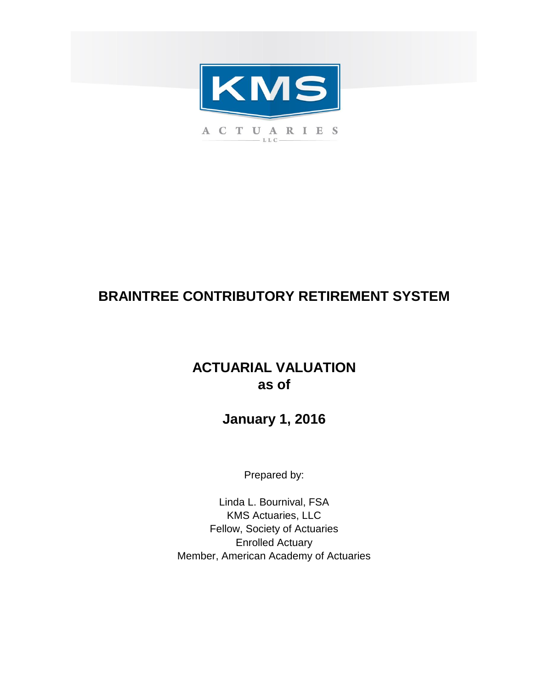

# **BRAINTREE CONTRIBUTORY RETIREMENT SYSTEM**

# **ACTUARIAL VALUATION as of**

**January 1, 2016**

Prepared by:

Enrolled Actuary Member, American Academy of Actuaries Linda L. Bournival, FSA KMS Actuaries, LLC Fellow, Society of Actuaries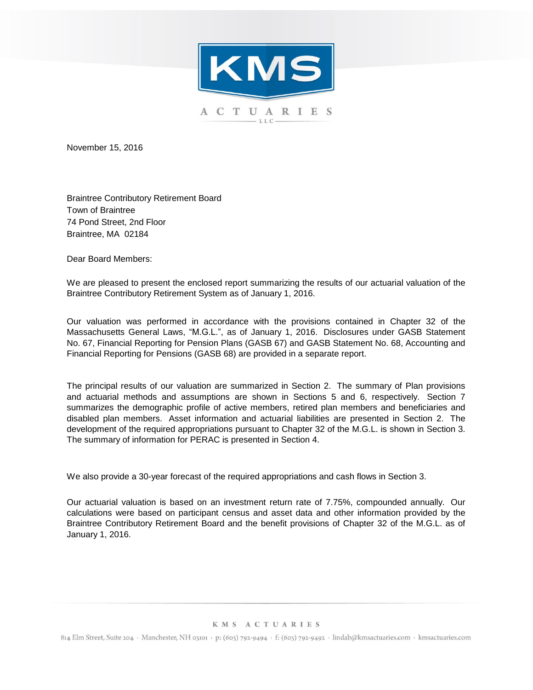

November 15, 2016

Braintree Contributory Retirement Board Town of Braintree 74 Pond Street, 2nd Floor Braintree, MA 02184

Dear Board Members:

We are pleased to present the enclosed report summarizing the results of our actuarial valuation of the Braintree Contributory Retirement System as of January 1, 2016.

Our valuation was performed in accordance with the provisions contained in Chapter 32 of the Massachusetts General Laws, "M.G.L.", as of January 1, 2016. Disclosures under GASB Statement No. 67, Financial Reporting for Pension Plans (GASB 67) and GASB Statement No. 68, Accounting and Financial Reporting for Pensions (GASB 68) are provided in a separate report.

The principal results of our valuation are summarized in Section 2. The summary of Plan provisions and actuarial methods and assumptions are shown in Sections 5 and 6, respectively. Section 7 summarizes the demographic profile of active members, retired plan members and beneficiaries and disabled plan members. Asset information and actuarial liabilities are presented in Section 2. The development of the required appropriations pursuant to Chapter 32 of the M.G.L. is shown in Section 3. The summary of information for PERAC is presented in Section 4.

We also provide a 30-year forecast of the required appropriations and cash flows in Section 3.

Our actuarial valuation is based on an investment return rate of 7.75%, compounded annually. Our calculations were based on participant census and asset data and other information provided by the Braintree Contributory Retirement Board and the benefit provisions of Chapter 32 of the M.G.L. as of January 1, 2016.

#### KMS ACTUARIES

814 Elm Street, Suite 204 · Manchester, NH 03101 · p: (603) 792-9494 · f: (603) 792-9492 · lindab@kmsactuaries.com · kmsactuaries.com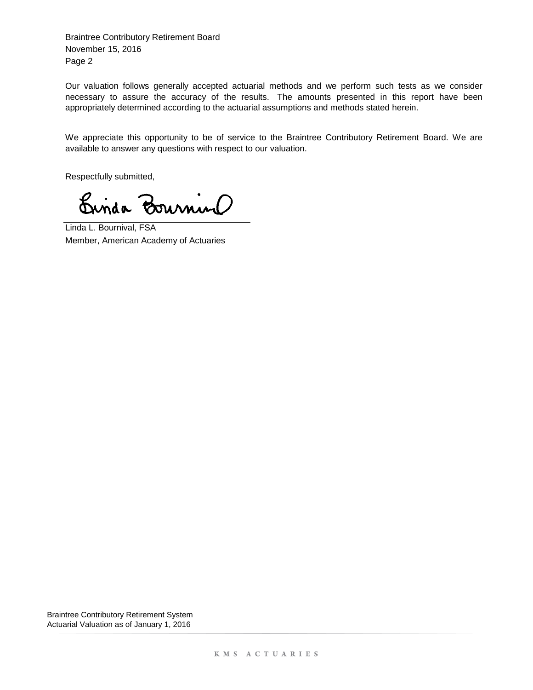Page 2 Braintree Contributory Retirement Board November 15, 2016

Our valuation follows generally accepted actuarial methods and we perform such tests as we consider necessary to assure the accuracy of the results. The amounts presented in this report have been appropriately determined according to the actuarial assumptions and methods stated herein.

We appreciate this opportunity to be of service to the Braintree Contributory Retirement Board. We are available to answer any questions with respect to our valuation.

Respectfully submitted,

Crisa Bournino

Linda L. Bournival, FSA Member, American Academy of Actuaries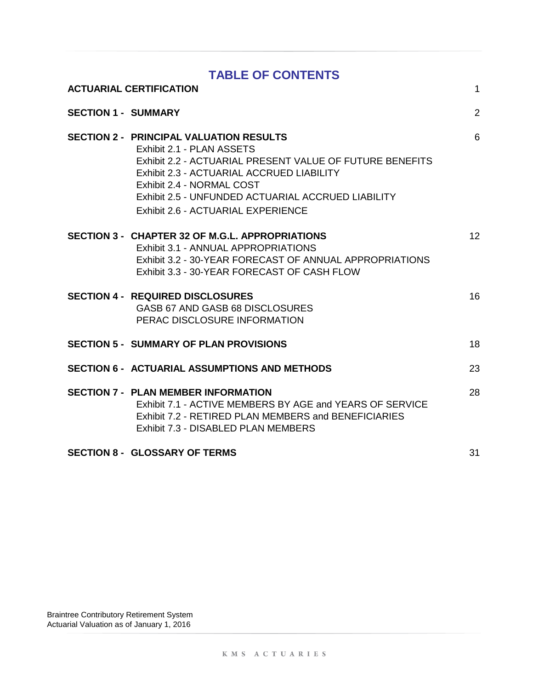|                            | <b>TABLE OF CONTENTS</b>                                                                                                                                                                                                                                                                                      |                |
|----------------------------|---------------------------------------------------------------------------------------------------------------------------------------------------------------------------------------------------------------------------------------------------------------------------------------------------------------|----------------|
|                            | <b>ACTUARIAL CERTIFICATION</b>                                                                                                                                                                                                                                                                                | $\mathbf{1}$   |
| <b>SECTION 1 - SUMMARY</b> |                                                                                                                                                                                                                                                                                                               | $\overline{2}$ |
|                            | <b>SECTION 2 - PRINCIPAL VALUATION RESULTS</b><br>Exhibit 2.1 - PLAN ASSETS<br>Exhibit 2.2 - ACTUARIAL PRESENT VALUE OF FUTURE BENEFITS<br>Exhibit 2.3 - ACTUARIAL ACCRUED LIABILITY<br>Exhibit 2.4 - NORMAL COST<br>Exhibit 2.5 - UNFUNDED ACTUARIAL ACCRUED LIABILITY<br>Exhibit 2.6 - ACTUARIAL EXPERIENCE | 6              |
|                            | SECTION 3 - CHAPTER 32 OF M.G.L. APPROPRIATIONS<br>Exhibit 3.1 - ANNUAL APPROPRIATIONS<br>Exhibit 3.2 - 30-YEAR FORECAST OF ANNUAL APPROPRIATIONS<br>Exhibit 3.3 - 30-YEAR FORECAST OF CASH FLOW                                                                                                              | 12             |
|                            | <b>SECTION 4 - REQUIRED DISCLOSURES</b><br>GASB 67 AND GASB 68 DISCLOSURES<br>PERAC DISCLOSURE INFORMATION                                                                                                                                                                                                    | 16             |
|                            | <b>SECTION 5 - SUMMARY OF PLAN PROVISIONS</b>                                                                                                                                                                                                                                                                 | 18             |
|                            | <b>SECTION 6 - ACTUARIAL ASSUMPTIONS AND METHODS</b>                                                                                                                                                                                                                                                          | 23             |
|                            | <b>SECTION 7 - PLAN MEMBER INFORMATION</b><br>Exhibit 7.1 - ACTIVE MEMBERS BY AGE and YEARS OF SERVICE<br>Exhibit 7.2 - RETIRED PLAN MEMBERS and BENEFICIARIES<br>Exhibit 7.3 - DISABLED PLAN MEMBERS                                                                                                         | 28             |
|                            | <b>SECTION 8 - GLOSSARY OF TERMS</b>                                                                                                                                                                                                                                                                          | 31             |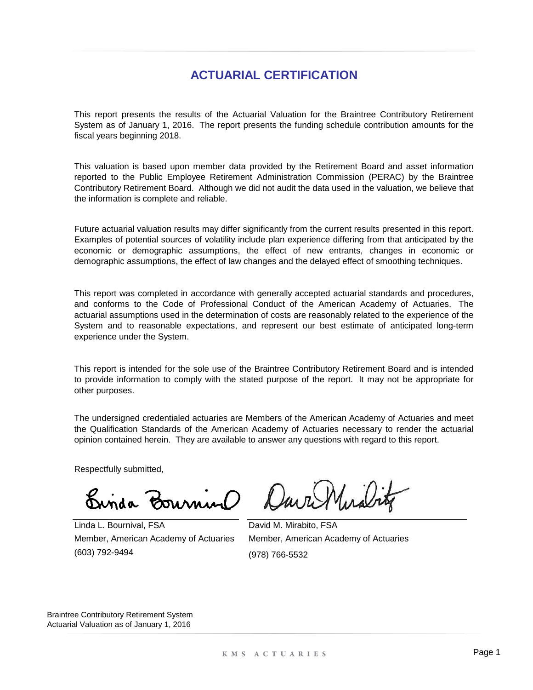## **ACTUARIAL CERTIFICATION**

This report presents the results of the Actuarial Valuation for the Braintree Contributory Retirement System as of January 1, 2016. The report presents the funding schedule contribution amounts for the fiscal years beginning 2018.

This valuation is based upon member data provided by the Retirement Board and asset information reported to the Public Employee Retirement Administration Commission (PERAC) by the Braintree Contributory Retirement Board. Although we did not audit the data used in the valuation, we believe that the information is complete and reliable.

Future actuarial valuation results may differ significantly from the current results presented in this report. Examples of potential sources of volatility include plan experience differing from that anticipated by the economic or demographic assumptions, the effect of new entrants, changes in economic or demographic assumptions, the effect of law changes and the delayed effect of smoothing techniques.

This report was completed in accordance with generally accepted actuarial standards and procedures, and conforms to the Code of Professional Conduct of the American Academy of Actuaries. The actuarial assumptions used in the determination of costs are reasonably related to the experience of the System and to reasonable expectations, and represent our best estimate of anticipated long-term experience under the System.

This report is intended for the sole use of the Braintree Contributory Retirement Board and is intended to provide information to comply with the stated purpose of the report. It may not be appropriate for other purposes.

The undersigned credentialed actuaries are Members of the American Academy of Actuaries and meet the Qualification Standards of the American Academy of Actuaries necessary to render the actuarial opinion contained herein. They are available to answer any questions with regard to this report.

Respectfully submitted,

 $\mu_{\rm{nu}}$ 

(603) 792-9494 Linda L. Bournival, FSA Member, American Academy of Actuaries

David M. Mirabito, FSA Member, American Academy of Actuaries (978) 766-5532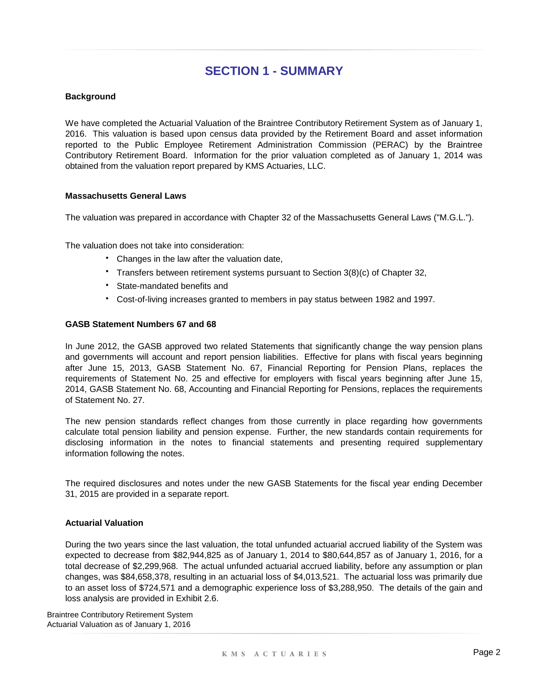#### **Background**

We have completed the Actuarial Valuation of the Braintree Contributory Retirement System as of January 1, 2016. This valuation is based upon census data provided by the Retirement Board and asset information reported to the Public Employee Retirement Administration Commission (PERAC) by the Braintree Contributory Retirement Board. Information for the prior valuation completed as of January 1, 2014 was obtained from the valuation report prepared by KMS Actuaries, LLC.

#### **Massachusetts General Laws**

The valuation was prepared in accordance with Chapter 32 of the Massachusetts General Laws ("M.G.L.").

The valuation does not take into consideration:

- Changes in the law after the valuation date,
- Transfers between retirement systems pursuant to Section 3(8)(c) of Chapter 32,
- State-mandated benefits and
- Cost-of-living increases granted to members in pay status between 1982 and 1997.

#### **GASB Statement Numbers 67 and 68**

In June 2012, the GASB approved two related Statements that significantly change the way pension plans and governments will account and report pension liabilities. Effective for plans with fiscal years beginning after June 15, 2013, GASB Statement No. 67, Financial Reporting for Pension Plans, replaces the requirements of Statement No. 25 and effective for employers with fiscal years beginning after June 15, 2014, GASB Statement No. 68, Accounting and Financial Reporting for Pensions, replaces the requirements of Statement No. 27.

The new pension standards reflect changes from those currently in place regarding how governments calculate total pension liability and pension expense. Further, the new standards contain requirements for disclosing information in the notes to financial statements and presenting required supplementary information following the notes.

The required disclosures and notes under the new GASB Statements for the fiscal year ending December 31, 2015 are provided in a separate report.

#### **Actuarial Valuation**

During the two years since the last valuation, the total unfunded actuarial accrued liability of the System was expected to decrease from \$82,944,825 as of January 1, 2014 to \$80,644,857 as of January 1, 2016, for a total decrease of \$2,299,968. The actual unfunded actuarial accrued liability, before any assumption or plan changes, was \$84,658,378, resulting in an actuarial loss of \$4,013,521. The actuarial loss was primarily due to an asset loss of \$724,571 and a demographic experience loss of \$3,288,950. The details of the gain and loss analysis are provided in Exhibit 2.6.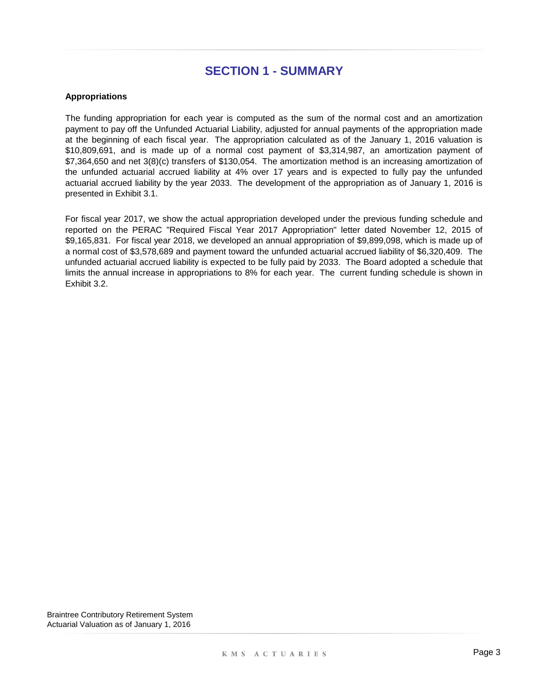#### **Appropriations**

The funding appropriation for each year is computed as the sum of the normal cost and an amortization payment to pay off the Unfunded Actuarial Liability, adjusted for annual payments of the appropriation made at the beginning of each fiscal year. The appropriation calculated as of the January 1, 2016 valuation is \$10,809,691, and is made up of a normal cost payment of \$3,314,987, an amortization payment of \$7,364,650 and net 3(8)(c) transfers of \$130,054. The amortization method is an increasing amortization of the unfunded actuarial accrued liability at 4% over 17 years and is expected to fully pay the unfunded actuarial accrued liability by the year 2033. The development of the appropriation as of January 1, 2016 is presented in Exhibit 3.1.

For fiscal year 2017, we show the actual appropriation developed under the previous funding schedule and reported on the PERAC "Required Fiscal Year 2017 Appropriation" letter dated November 12, 2015 of \$9,165,831. For fiscal year 2018, we developed an annual appropriation of \$9,899,098, which is made up of a normal cost of \$3,578,689 and payment toward the unfunded actuarial accrued liability of \$6,320,409. The unfunded actuarial accrued liability is expected to be fully paid by 2033. The Board adopted a schedule that limits the annual increase in appropriations to 8% for each year. The current funding schedule is shown in Exhibit 3.2.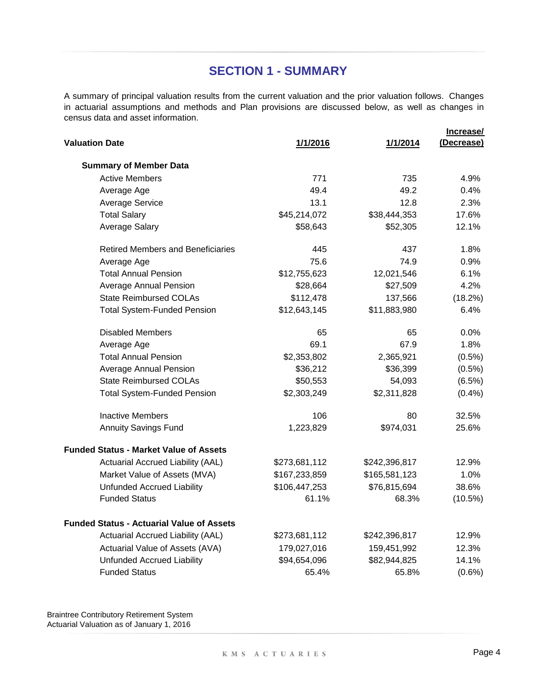A summary of principal valuation results from the current valuation and the prior valuation follows. Changes in actuarial assumptions and methods and Plan provisions are discussed below, as well as changes in census data and asset information.

|                                                  |               |               | Increase/  |
|--------------------------------------------------|---------------|---------------|------------|
| <b>Valuation Date</b>                            | 1/1/2016      | 1/1/2014      | (Decrease) |
| <b>Summary of Member Data</b>                    |               |               |            |
| <b>Active Members</b>                            | 771           | 735           | 4.9%       |
| Average Age                                      | 49.4          | 49.2          | 0.4%       |
| <b>Average Service</b>                           | 13.1          | 12.8          | 2.3%       |
| <b>Total Salary</b>                              | \$45,214,072  | \$38,444,353  | 17.6%      |
| <b>Average Salary</b>                            | \$58,643      | \$52,305      | 12.1%      |
| <b>Retired Members and Beneficiaries</b>         | 445           | 437           | 1.8%       |
| Average Age                                      | 75.6          | 74.9          | 0.9%       |
| <b>Total Annual Pension</b>                      | \$12,755,623  | 12,021,546    | 6.1%       |
| <b>Average Annual Pension</b>                    | \$28,664      | \$27,509      | 4.2%       |
| <b>State Reimbursed COLAs</b>                    | \$112,478     | 137,566       | (18.2%)    |
| <b>Total System-Funded Pension</b>               | \$12,643,145  | \$11,883,980  | 6.4%       |
| <b>Disabled Members</b>                          | 65            | 65            | $0.0\%$    |
| Average Age                                      | 69.1          | 67.9          | 1.8%       |
| <b>Total Annual Pension</b>                      | \$2,353,802   | 2,365,921     | $(0.5\%)$  |
| <b>Average Annual Pension</b>                    | \$36,212      | \$36,399      | $(0.5\%)$  |
| <b>State Reimbursed COLAs</b>                    | \$50,553      | 54,093        | (6.5%)     |
| <b>Total System-Funded Pension</b>               | \$2,303,249   | \$2,311,828   | (0.4% )    |
| <b>Inactive Members</b>                          | 106           | 80            | 32.5%      |
| <b>Annuity Savings Fund</b>                      | 1,223,829     | \$974,031     | 25.6%      |
| Funded Status - Market Value of Assets           |               |               |            |
| Actuarial Accrued Liability (AAL)                | \$273,681,112 | \$242,396,817 | 12.9%      |
| Market Value of Assets (MVA)                     | \$167,233,859 | \$165,581,123 | 1.0%       |
| <b>Unfunded Accrued Liability</b>                | \$106,447,253 | \$76,815,694  | 38.6%      |
| <b>Funded Status</b>                             | 61.1%         | 68.3%         | (10.5%)    |
| <b>Funded Status - Actuarial Value of Assets</b> |               |               |            |
| Actuarial Accrued Liability (AAL)                | \$273,681,112 | \$242,396,817 | 12.9%      |
| Actuarial Value of Assets (AVA)                  | 179,027,016   | 159,451,992   | 12.3%      |
| <b>Unfunded Accrued Liability</b>                | \$94,654,096  | \$82,944,825  | 14.1%      |
| <b>Funded Status</b>                             | 65.4%         | 65.8%         | $(0.6\%)$  |
|                                                  |               |               |            |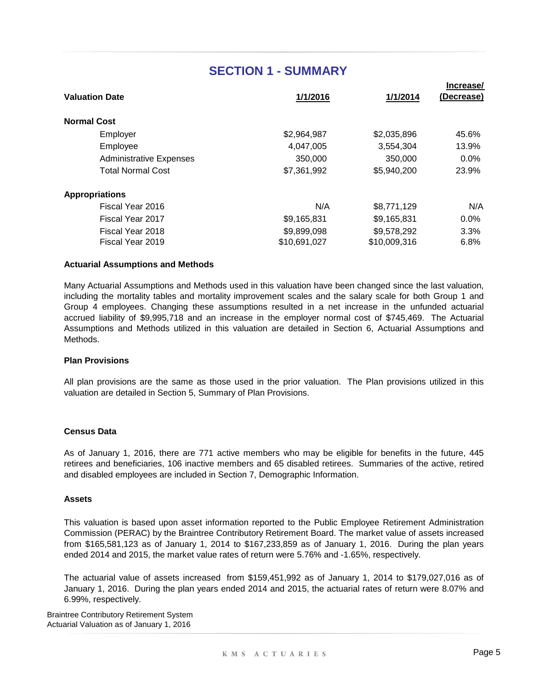|                    | <b>Valuation Date</b>          | 1/1/2016     | 1/1/2014     | Increase/<br><u>(Decrease)</u> |
|--------------------|--------------------------------|--------------|--------------|--------------------------------|
| <b>Normal Cost</b> |                                |              |              |                                |
|                    | Employer                       | \$2,964,987  | \$2,035,896  | 45.6%                          |
|                    | Employee                       | 4,047,005    | 3,554,304    | 13.9%                          |
|                    | <b>Administrative Expenses</b> | 350,000      | 350,000      | 0.0%                           |
|                    | <b>Total Normal Cost</b>       | \$7,361,992  | \$5,940,200  | 23.9%                          |
|                    | <b>Appropriations</b>          |              |              |                                |
|                    | Fiscal Year 2016               | N/A          | \$8,771,129  | N/A                            |
|                    | Fiscal Year 2017               | \$9,165,831  | \$9,165,831  | 0.0%                           |
|                    | Fiscal Year 2018               | \$9,899,098  | \$9,578,292  | 3.3%                           |
|                    | Fiscal Year 2019               | \$10,691,027 | \$10,009,316 | 6.8%                           |
|                    |                                |              |              |                                |

#### **Actuarial Assumptions and Methods**

Many Actuarial Assumptions and Methods used in this valuation have been changed since the last valuation, including the mortality tables and mortality improvement scales and the salary scale for both Group 1 and Group 4 employees. Changing these assumptions resulted in a net increase in the unfunded actuarial accrued liability of \$9,995,718 and an increase in the employer normal cost of \$745,469. The Actuarial Assumptions and Methods utilized in this valuation are detailed in Section 6, Actuarial Assumptions and Methods.

#### **Plan Provisions**

All plan provisions are the same as those used in the prior valuation. The Plan provisions utilized in this valuation are detailed in Section 5, Summary of Plan Provisions.

#### **Census Data**

As of January 1, 2016, there are 771 active members who may be eligible for benefits in the future, 445 retirees and beneficiaries, 106 inactive members and 65 disabled retirees. Summaries of the active, retired and disabled employees are included in Section 7, Demographic Information.

#### **Assets**

This valuation is based upon asset information reported to the Public Employee Retirement Administration Commission (PERAC) by the Braintree Contributory Retirement Board. The market value of assets increased from \$165,581,123 as of January 1, 2014 to \$167,233,859 as of January 1, 2016. During the plan years ended 2014 and 2015, the market value rates of return were 5.76% and -1.65%, respectively.

The actuarial value of assets increased from \$159,451,992 as of January 1, 2014 to \$179,027,016 as of January 1, 2016. During the plan years ended 2014 and 2015, the actuarial rates of return were 8.07% and 6.99%, respectively.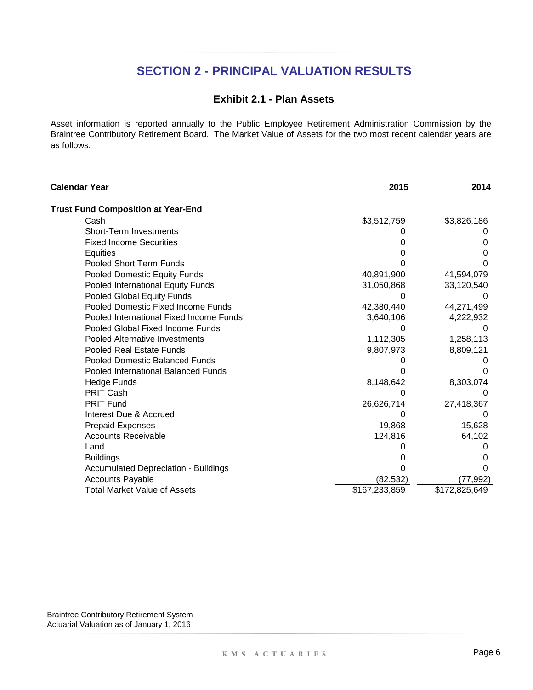### **Exhibit 2.1 - Plan Assets**

Asset information is reported annually to the Public Employee Retirement Administration Commission by the Braintree Contributory Retirement Board. The Market Value of Assets for the two most recent calendar years are as follows:

| Calendar Year                               | 2015          | 2014          |
|---------------------------------------------|---------------|---------------|
| <b>Trust Fund Composition at Year-End</b>   |               |               |
| Cash                                        | \$3,512,759   | \$3,826,186   |
| <b>Short-Term Investments</b>               |               |               |
| <b>Fixed Income Securities</b>              |               |               |
| Equities                                    |               |               |
| Pooled Short Term Funds                     |               |               |
| Pooled Domestic Equity Funds                | 40,891,900    | 41,594,079    |
| Pooled International Equity Funds           | 31,050,868    | 33,120,540    |
| Pooled Global Equity Funds                  |               |               |
| Pooled Domestic Fixed Income Funds          | 42,380,440    | 44,271,499    |
| Pooled International Fixed Income Funds     | 3,640,106     | 4,222,932     |
| Pooled Global Fixed Income Funds            |               |               |
| <b>Pooled Alternative Investments</b>       | 1,112,305     | 1,258,113     |
| Pooled Real Estate Funds                    | 9,807,973     | 8,809,121     |
| <b>Pooled Domestic Balanced Funds</b>       |               |               |
| Pooled International Balanced Funds         |               |               |
| Hedge Funds                                 | 8,148,642     | 8,303,074     |
| PRIT Cash                                   |               |               |
| <b>PRIT Fund</b>                            | 26,626,714    | 27,418,367    |
| Interest Due & Accrued                      |               |               |
| <b>Prepaid Expenses</b>                     | 19,868        | 15,628        |
| <b>Accounts Receivable</b>                  | 124,816       | 64,102        |
| Land                                        |               |               |
| <b>Buildings</b>                            |               |               |
| <b>Accumulated Depreciation - Buildings</b> |               |               |
| <b>Accounts Payable</b>                     | (82, 532)     | (77, 992)     |
| <b>Total Market Value of Assets</b>         | \$167,233,859 | \$172,825,649 |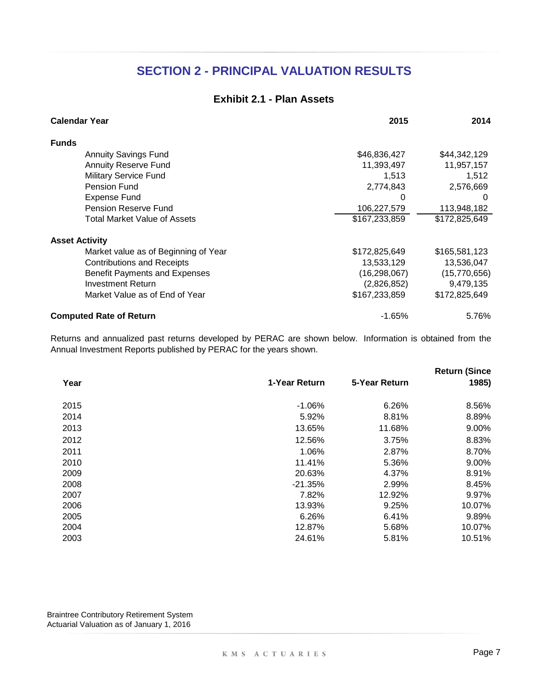### **Exhibit 2.1 - Plan Assets**

| <b>Calendar Year</b>                 | 2015           | 2014          |
|--------------------------------------|----------------|---------------|
| <b>Funds</b>                         |                |               |
| <b>Annuity Savings Fund</b>          | \$46,836,427   | \$44,342,129  |
| <b>Annuity Reserve Fund</b>          | 11,393,497     | 11,957,157    |
| <b>Military Service Fund</b>         | 1,513          | 1,512         |
| Pension Fund                         | 2,774,843      | 2,576,669     |
| <b>Expense Fund</b>                  | O              | 0             |
| Pension Reserve Fund                 | 106,227,579    | 113,948,182   |
| Total Market Value of Assets         | \$167,233,859  | \$172,825,649 |
| <b>Asset Activity</b>                |                |               |
| Market value as of Beginning of Year | \$172,825,649  | \$165,581,123 |
| <b>Contributions and Receipts</b>    | 13,533,129     | 13,536,047    |
| <b>Benefit Payments and Expenses</b> | (16, 298, 067) | (15,770,656)  |
| <b>Investment Return</b>             | (2,826,852)    | 9,479,135     |
| Market Value as of End of Year       | \$167,233,859  | \$172,825,649 |
| <b>Computed Rate of Return</b>       | $-1.65%$       | 5.76%         |

Returns and annualized past returns developed by PERAC are shown below. Information is obtained from the Annual Investment Reports published by PERAC for the years shown.

|      |               |               | <b>Return (Since</b> |
|------|---------------|---------------|----------------------|
| Year | 1-Year Return | 5-Year Return | 1985)                |
| 2015 | $-1.06%$      | 6.26%         | 8.56%                |
| 2014 | 5.92%         | 8.81%         | 8.89%                |
| 2013 | 13.65%        | 11.68%        | 9.00%                |
| 2012 | 12.56%        | 3.75%         | 8.83%                |
| 2011 | 1.06%         | 2.87%         | 8.70%                |
| 2010 | 11.41%        | 5.36%         | 9.00%                |
| 2009 | 20.63%        | 4.37%         | 8.91%                |
| 2008 | $-21.35%$     | 2.99%         | 8.45%                |
| 2007 | 7.82%         | 12.92%        | 9.97%                |
| 2006 | 13.93%        | 9.25%         | 10.07%               |
| 2005 | 6.26%         | 6.41%         | 9.89%                |
| 2004 | 12.87%        | 5.68%         | 10.07%               |
| 2003 | 24.61%        | 5.81%         | 10.51%               |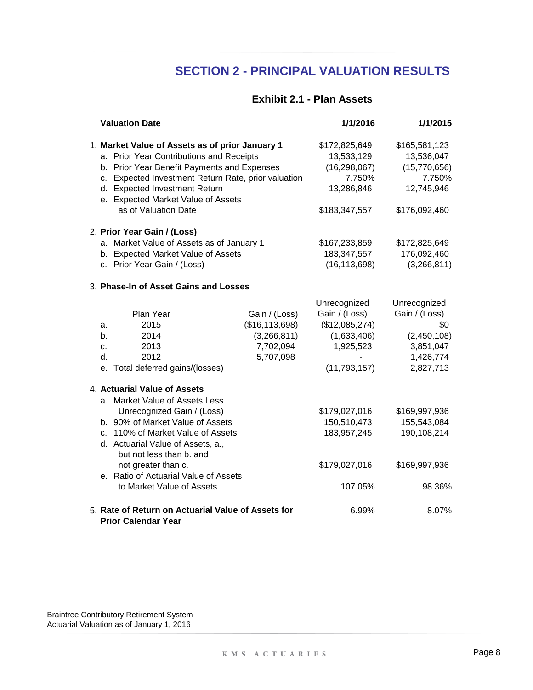### **Exhibit 2.1 - Plan Assets**

|                            | <b>Valuation Date</b>                                                                                                                                                                                                                                                                               |                                                                            | 1/1/2016                                                                                      | 1/1/2015                                                                                   |
|----------------------------|-----------------------------------------------------------------------------------------------------------------------------------------------------------------------------------------------------------------------------------------------------------------------------------------------------|----------------------------------------------------------------------------|-----------------------------------------------------------------------------------------------|--------------------------------------------------------------------------------------------|
|                            | 1. Market Value of Assets as of prior January 1<br>a. Prior Year Contributions and Receipts<br>b. Prior Year Benefit Payments and Expenses<br>c. Expected Investment Return Rate, prior valuation<br>d. Expected Investment Return<br>e. Expected Market Value of Assets<br>as of Valuation Date    |                                                                            | \$172,825,649<br>13,533,129<br>(16, 298, 067)<br>7.750%<br>13,286,846<br>\$183,347,557        | \$165,581,123<br>13,536,047<br>(15,770,656)<br>7.750%<br>12,745,946<br>\$176,092,460       |
|                            | 2. Prior Year Gain / (Loss)                                                                                                                                                                                                                                                                         |                                                                            |                                                                                               |                                                                                            |
|                            | a. Market Value of Assets as of January 1<br>b. Expected Market Value of Assets<br>c. Prior Year Gain / (Loss)                                                                                                                                                                                      |                                                                            | \$167,233,859<br>183,347,557<br>(16, 113, 698)                                                | \$172,825,649<br>176,092,460<br>(3,266,811)                                                |
|                            | 3. Phase-In of Asset Gains and Losses                                                                                                                                                                                                                                                               |                                                                            |                                                                                               |                                                                                            |
| a.<br>b.<br>c.<br>d.<br>е. | Plan Year<br>2015<br>2014<br>2013<br>2012<br>Total deferred gains/(losses)                                                                                                                                                                                                                          | Gain / (Loss)<br>(\$16, 113, 698)<br>(3,266,811)<br>7,702,094<br>5,707,098 | Unrecognized<br>Gain / (Loss)<br>(\$12,085,274)<br>(1,633,406)<br>1,925,523<br>(11, 793, 157) | Unrecognized<br>Gain / (Loss)<br>\$0<br>(2,450,108)<br>3,851,047<br>1,426,774<br>2,827,713 |
|                            | 4. Actuarial Value of Assets                                                                                                                                                                                                                                                                        |                                                                            |                                                                                               |                                                                                            |
|                            | a. Market Value of Assets Less<br>Unrecognized Gain / (Loss)<br>b. 90% of Market Value of Assets<br>c. 110% of Market Value of Assets<br>d. Actuarial Value of Assets, a.,<br>but not less than b. and<br>not greater than c.<br>e. Ratio of Actuarial Value of Assets<br>to Market Value of Assets |                                                                            | \$179,027,016<br>150,510,473<br>183,957,245<br>\$179,027,016<br>107.05%                       | \$169,997,936<br>155,543,084<br>190,108,214<br>\$169,997,936<br>98.36%                     |
|                            | 5. Rate of Return on Actuarial Value of Assets for<br><b>Prior Calendar Year</b>                                                                                                                                                                                                                    |                                                                            | 6.99%                                                                                         | 8.07%                                                                                      |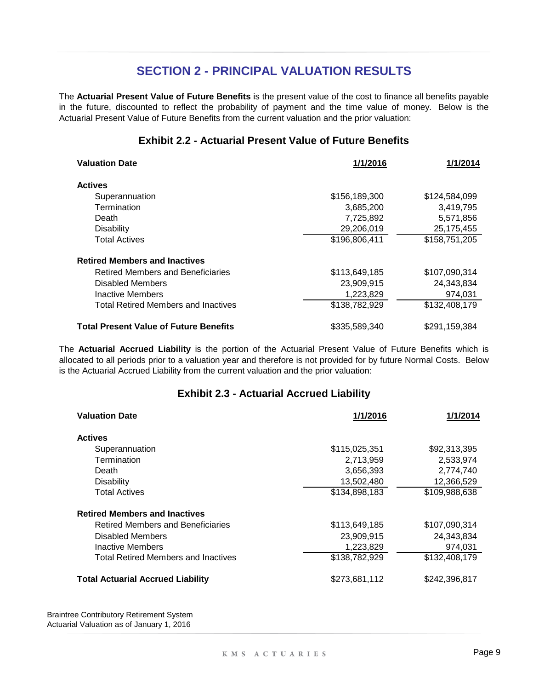The **Actuarial Present Value of Future Benefits** is the present value of the cost to finance all benefits payable in the future, discounted to reflect the probability of payment and the time value of money. Below is the Actuarial Present Value of Future Benefits from the current valuation and the prior valuation:

### **Exhibit 2.2 - Actuarial Present Value of Future Benefits**

| <b>Valuation Date</b>                         | 1/1/2016      | 1/1/2014      |
|-----------------------------------------------|---------------|---------------|
| <b>Actives</b>                                |               |               |
| Superannuation                                | \$156,189,300 | \$124,584,099 |
| Termination                                   | 3,685,200     | 3,419,795     |
| Death                                         | 7,725,892     | 5,571,856     |
| <b>Disability</b>                             | 29,206,019    | 25, 175, 455  |
| <b>Total Actives</b>                          | \$196,806,411 | \$158,751,205 |
| <b>Retired Members and Inactives</b>          |               |               |
| <b>Retired Members and Beneficiaries</b>      | \$113,649,185 | \$107,090,314 |
| Disabled Members                              | 23,909,915    | 24,343,834    |
| Inactive Members                              | 1,223,829     | 974.031       |
| <b>Total Retired Members and Inactives</b>    | \$138,782,929 | \$132,408,179 |
| <b>Total Present Value of Future Benefits</b> | \$335,589,340 | \$291,159,384 |

The **Actuarial Accrued Liability** is the portion of the Actuarial Present Value of Future Benefits which is allocated to all periods prior to a valuation year and therefore is not provided for by future Normal Costs. Below is the Actuarial Accrued Liability from the current valuation and the prior valuation:

### **Exhibit 2.3 - Actuarial Accrued Liability**

| <b>Valuation Date</b>                      | 1/1/2016      | 1/1/2014      |
|--------------------------------------------|---------------|---------------|
| <b>Actives</b>                             |               |               |
| Superannuation                             | \$115,025,351 | \$92,313,395  |
| Termination                                | 2,713,959     | 2,533,974     |
| Death                                      | 3,656,393     | 2,774,740     |
| <b>Disability</b>                          | 13,502,480    | 12,366,529    |
| <b>Total Actives</b>                       | \$134,898,183 | \$109,988,638 |
| <b>Retired Members and Inactives</b>       |               |               |
| Retired Members and Beneficiaries          | \$113,649,185 | \$107,090,314 |
| Disabled Members                           | 23,909,915    | 24,343,834    |
| Inactive Members                           | 1,223,829     | 974,031       |
| <b>Total Retired Members and Inactives</b> | \$138,782,929 | \$132,408,179 |
| <b>Total Actuarial Accrued Liability</b>   | \$273,681,112 | \$242,396,817 |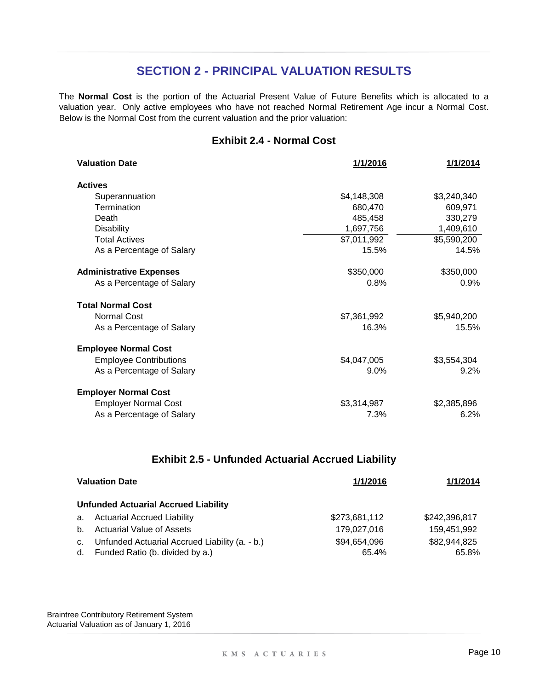The **Normal Cost** is the portion of the Actuarial Present Value of Future Benefits which is allocated to a valuation year. Only active employees who have not reached Normal Retirement Age incur a Normal Cost. Below is the Normal Cost from the current valuation and the prior valuation:

### **Exhibit 2.4 - Normal Cost**

| <b>Valuation Date</b>          | 1/1/2016    | 1/1/2014    |
|--------------------------------|-------------|-------------|
| <b>Actives</b>                 |             |             |
| Superannuation                 | \$4,148,308 | \$3,240,340 |
| Termination                    | 680,470     | 609,971     |
| Death                          | 485,458     | 330,279     |
| <b>Disability</b>              | 1,697,756   | 1,409,610   |
| <b>Total Actives</b>           | \$7,011,992 | \$5,590,200 |
| As a Percentage of Salary      | 15.5%       | 14.5%       |
| <b>Administrative Expenses</b> | \$350,000   | \$350,000   |
| As a Percentage of Salary      | 0.8%        | 0.9%        |
| <b>Total Normal Cost</b>       |             |             |
| <b>Normal Cost</b>             | \$7,361,992 | \$5,940,200 |
| As a Percentage of Salary      | 16.3%       | 15.5%       |
| <b>Employee Normal Cost</b>    |             |             |
| <b>Employee Contributions</b>  | \$4,047,005 | \$3,554,304 |
| As a Percentage of Salary      | 9.0%        | 9.2%        |
| <b>Employer Normal Cost</b>    |             |             |
| <b>Employer Normal Cost</b>    | \$3,314,987 | \$2,385,896 |
| As a Percentage of Salary      | 7.3%        | 6.2%        |

### **Exhibit 2.5 - Unfunded Actuarial Accrued Liability**

| <b>Valuation Date</b> |                                                                                   | 1/1/2016              | 1/1/2014              |
|-----------------------|-----------------------------------------------------------------------------------|-----------------------|-----------------------|
|                       | <b>Unfunded Actuarial Accrued Liability</b>                                       |                       |                       |
| a.                    | <b>Actuarial Accrued Liability</b>                                                | \$273,681,112         | \$242,396,817         |
| b <sub>1</sub>        | <b>Actuarial Value of Assets</b>                                                  | 179.027.016           | 159.451.992           |
| C.<br>d.              | Unfunded Actuarial Accrued Liability (a. - b.)<br>Funded Ratio (b. divided by a.) | \$94,654,096<br>65.4% | \$82,944,825<br>65.8% |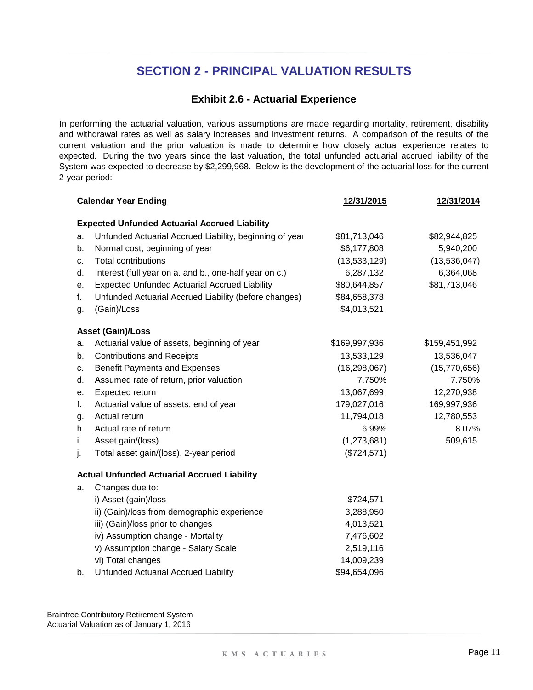### **Exhibit 2.6 - Actuarial Experience**

In performing the actuarial valuation, various assumptions are made regarding mortality, retirement, disability and withdrawal rates as well as salary increases and investment returns. A comparison of the results of the current valuation and the prior valuation is made to determine how closely actual experience relates to expected. During the two years since the last valuation, the total unfunded actuarial accrued liability of the System was expected to decrease by \$2,299,968. Below is the development of the actuarial loss for the current 2-year period:

|    | <b>Calendar Year Ending</b>                             | 12/31/2015     | 12/31/2014    |
|----|---------------------------------------------------------|----------------|---------------|
|    | <b>Expected Unfunded Actuarial Accrued Liability</b>    |                |               |
| a. | Unfunded Actuarial Accrued Liability, beginning of year | \$81,713,046   | \$82,944,825  |
| b. | Normal cost, beginning of year                          | \$6,177,808    | 5,940,200     |
| c. | <b>Total contributions</b>                              | (13,533,129)   | (13,536,047)  |
| d. | Interest (full year on a. and b., one-half year on c.)  | 6,287,132      | 6,364,068     |
| е. | <b>Expected Unfunded Actuarial Accrued Liability</b>    | \$80,644,857   | \$81,713,046  |
| f. | Unfunded Actuarial Accrued Liability (before changes)   | \$84,658,378   |               |
| g. | (Gain)/Loss                                             | \$4,013,521    |               |
|    | <b>Asset (Gain)/Loss</b>                                |                |               |
| a. | Actuarial value of assets, beginning of year            | \$169,997,936  | \$159,451,992 |
| b. | <b>Contributions and Receipts</b>                       | 13,533,129     | 13,536,047    |
| c. | <b>Benefit Payments and Expenses</b>                    | (16, 298, 067) | (15,770,656)  |
| d. | Assumed rate of return, prior valuation                 | 7.750%         | 7.750%        |
| е. | Expected return                                         | 13,067,699     | 12,270,938    |
| f. | Actuarial value of assets, end of year                  | 179,027,016    | 169,997,936   |
| g. | Actual return                                           | 11,794,018     | 12,780,553    |
| h. | Actual rate of return                                   | 6.99%          | 8.07%         |
| i. | Asset gain/(loss)                                       | (1,273,681)    | 509,615       |
| j. | Total asset gain/(loss), 2-year period                  | (\$724,571)    |               |
|    | <b>Actual Unfunded Actuarial Accrued Liability</b>      |                |               |
| a. | Changes due to:                                         |                |               |
|    | i) Asset (gain)/loss                                    | \$724,571      |               |
|    | ii) (Gain)/loss from demographic experience             | 3,288,950      |               |
|    | iii) (Gain)/loss prior to changes                       | 4,013,521      |               |
|    | iv) Assumption change - Mortality                       | 7,476,602      |               |
|    | v) Assumption change - Salary Scale                     | 2,519,116      |               |
|    | vi) Total changes                                       | 14,009,239     |               |
| b. | Unfunded Actuarial Accrued Liability                    | \$94,654,096   |               |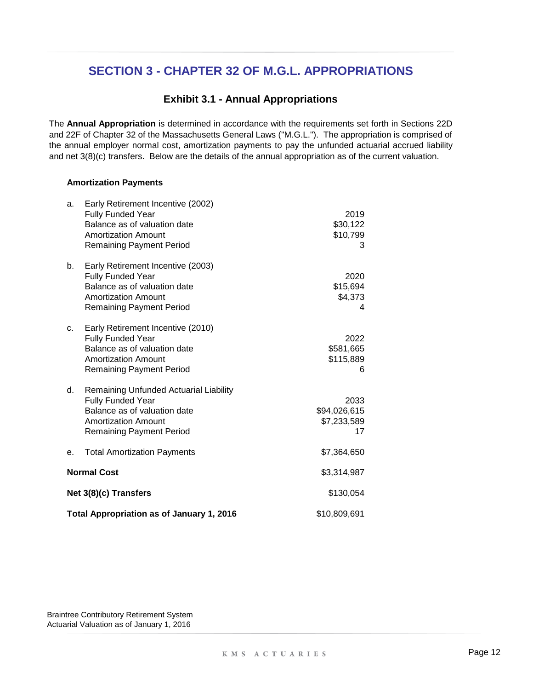### **Exhibit 3.1 - Annual Appropriations**

The **Annual Appropriation** is determined in accordance with the requirements set forth in Sections 22D and 22F of Chapter 32 of the Massachusetts General Laws ("M.G.L."). The appropriation is comprised of the annual employer normal cost, amortization payments to pay the unfunded actuarial accrued liability and net 3(8)(c) transfers. Below are the details of the annual appropriation as of the current valuation.

#### **Amortization Payments**

|    | Total Appropriation as of January 1, 2016                                                                                                                      | \$10,809,691                              |  |
|----|----------------------------------------------------------------------------------------------------------------------------------------------------------------|-------------------------------------------|--|
|    | Net 3(8)(c) Transfers                                                                                                                                          | \$130,054                                 |  |
|    | <b>Normal Cost</b>                                                                                                                                             | \$3,314,987                               |  |
| е. | <b>Total Amortization Payments</b>                                                                                                                             | \$7,364,650                               |  |
| d. | Remaining Unfunded Actuarial Liability<br>Fully Funded Year<br>Balance as of valuation date<br><b>Amortization Amount</b><br><b>Remaining Payment Period</b>   | 2033<br>\$94,026,615<br>\$7,233,589<br>17 |  |
| c. | Early Retirement Incentive (2010)<br><b>Fully Funded Year</b><br>Balance as of valuation date<br><b>Amortization Amount</b><br><b>Remaining Payment Period</b> | 2022<br>\$581,665<br>\$115,889<br>6       |  |
| b. | Early Retirement Incentive (2003)<br><b>Fully Funded Year</b><br>Balance as of valuation date<br><b>Amortization Amount</b><br><b>Remaining Payment Period</b> | 2020<br>\$15,694<br>\$4,373<br>4          |  |
| a. | Early Retirement Incentive (2002)<br><b>Fully Funded Year</b><br>Balance as of valuation date<br><b>Amortization Amount</b><br><b>Remaining Payment Period</b> | 2019<br>\$30,122<br>\$10,799<br>3         |  |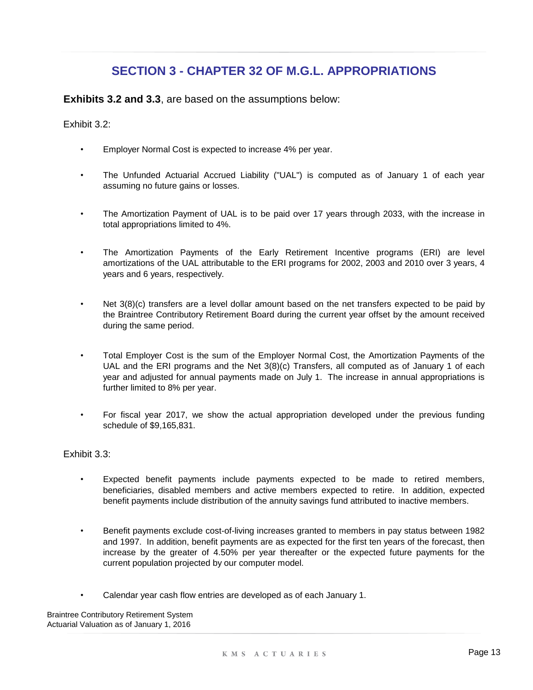**Exhibits 3.2 and 3.3**, are based on the assumptions below:

Exhibit 3.2:

- Employer Normal Cost is expected to increase 4% per year.
- The Unfunded Actuarial Accrued Liability ("UAL") is computed as of January 1 of each year assuming no future gains or losses.
- The Amortization Payment of UAL is to be paid over 17 years through 2033, with the increase in total appropriations limited to 4%.
- The Amortization Payments of the Early Retirement Incentive programs (ERI) are level amortizations of the UAL attributable to the ERI programs for 2002, 2003 and 2010 over 3 years, 4 years and 6 years, respectively.
- Net 3(8)(c) transfers are a level dollar amount based on the net transfers expected to be paid by the Braintree Contributory Retirement Board during the current year offset by the amount received during the same period.
- Total Employer Cost is the sum of the Employer Normal Cost, the Amortization Payments of the UAL and the ERI programs and the Net 3(8)(c) Transfers, all computed as of January 1 of each year and adjusted for annual payments made on July 1. The increase in annual appropriations is further limited to 8% per year.
- For fiscal year 2017, we show the actual appropriation developed under the previous funding schedule of \$9,165,831.

#### Exhibit 3.3:

- Expected benefit payments include payments expected to be made to retired members, beneficiaries, disabled members and active members expected to retire. In addition, expected benefit payments include distribution of the annuity savings fund attributed to inactive members.
- Benefit payments exclude cost-of-living increases granted to members in pay status between 1982 and 1997. In addition, benefit payments are as expected for the first ten years of the forecast, then increase by the greater of 4.50% per year thereafter or the expected future payments for the current population projected by our computer model.
- Calendar year cash flow entries are developed as of each January 1.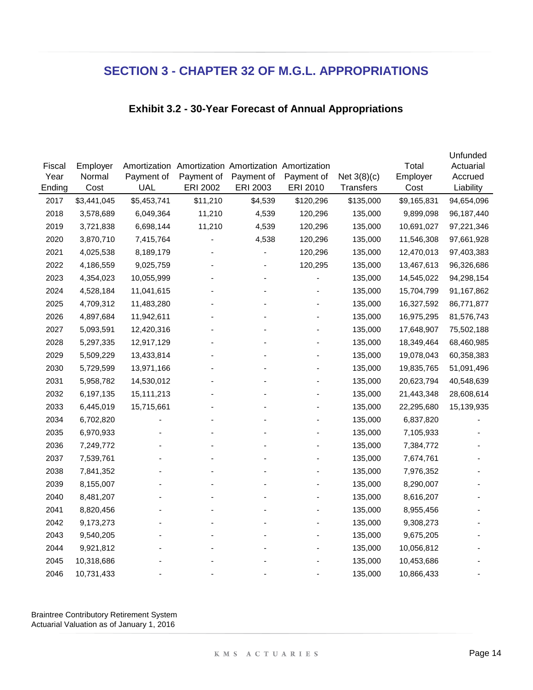### **Exhibit 3.2 - 30-Year Forecast of Annual Appropriations**

|        |             |              |                                        |            |            |               |             | Unfunded   |
|--------|-------------|--------------|----------------------------------------|------------|------------|---------------|-------------|------------|
| Fiscal | Employer    | Amortization | Amortization Amortization Amortization |            |            |               | Total       | Actuarial  |
| Year   | Normal      | Payment of   | Payment of                             | Payment of | Payment of | Net $3(8)(c)$ | Employer    | Accrued    |
| Ending | Cost        | <b>UAL</b>   | ERI 2002                               | ERI 2003   | ERI 2010   | Transfers     | Cost        | Liability  |
| 2017   | \$3,441,045 | \$5,453,741  | \$11,210                               | \$4,539    | \$120,296  | \$135,000     | \$9,165,831 | 94,654,096 |
| 2018   | 3,578,689   | 6,049,364    | 11,210                                 | 4,539      | 120,296    | 135,000       | 9,899,098   | 96,187,440 |
| 2019   | 3,721,838   | 6,698,144    | 11,210                                 | 4,539      | 120,296    | 135,000       | 10,691,027  | 97,221,346 |
| 2020   | 3,870,710   | 7,415,764    |                                        | 4,538      | 120,296    | 135,000       | 11,546,308  | 97,661,928 |
| 2021   | 4,025,538   | 8,189,179    |                                        |            | 120,296    | 135,000       | 12,470,013  | 97,403,383 |
| 2022   | 4,186,559   | 9,025,759    |                                        |            | 120,295    | 135,000       | 13,467,613  | 96,326,686 |
| 2023   | 4,354,023   | 10,055,999   |                                        |            |            | 135,000       | 14,545,022  | 94,298,154 |
| 2024   | 4,528,184   | 11,041,615   |                                        |            |            | 135,000       | 15,704,799  | 91,167,862 |
| 2025   | 4,709,312   | 11,483,280   |                                        |            |            | 135,000       | 16,327,592  | 86,771,877 |
| 2026   | 4,897,684   | 11,942,611   |                                        |            |            | 135,000       | 16,975,295  | 81,576,743 |
| 2027   | 5,093,591   | 12,420,316   |                                        |            |            | 135,000       | 17,648,907  | 75,502,188 |
| 2028   | 5,297,335   | 12,917,129   |                                        |            |            | 135,000       | 18,349,464  | 68,460,985 |
| 2029   | 5,509,229   | 13,433,814   |                                        |            |            | 135,000       | 19,078,043  | 60,358,383 |
| 2030   | 5,729,599   | 13,971,166   |                                        |            |            | 135,000       | 19,835,765  | 51,091,496 |
| 2031   | 5,958,782   | 14,530,012   |                                        |            |            | 135,000       | 20,623,794  | 40,548,639 |
| 2032   | 6,197,135   | 15,111,213   |                                        |            |            | 135,000       | 21,443,348  | 28,608,614 |
| 2033   | 6,445,019   | 15,715,661   |                                        |            |            | 135,000       | 22,295,680  | 15,139,935 |
| 2034   | 6,702,820   |              |                                        |            |            | 135,000       | 6,837,820   |            |
| 2035   | 6,970,933   |              |                                        |            |            | 135,000       | 7,105,933   |            |
| 2036   | 7,249,772   |              |                                        |            |            | 135,000       | 7,384,772   |            |
| 2037   | 7,539,761   |              |                                        |            |            | 135,000       | 7,674,761   |            |
| 2038   | 7,841,352   |              |                                        |            |            | 135,000       | 7,976,352   |            |
| 2039   | 8,155,007   |              |                                        |            |            | 135,000       | 8,290,007   |            |
| 2040   | 8,481,207   |              |                                        |            |            | 135,000       | 8,616,207   |            |
| 2041   | 8,820,456   |              |                                        |            |            | 135,000       | 8,955,456   |            |
| 2042   | 9,173,273   |              |                                        |            |            | 135,000       | 9,308,273   |            |
| 2043   | 9,540,205   |              |                                        |            |            | 135,000       | 9,675,205   |            |
| 2044   | 9,921,812   |              |                                        |            |            | 135,000       | 10,056,812  |            |
| 2045   | 10,318,686  |              |                                        |            |            | 135,000       | 10,453,686  |            |
| 2046   | 10,731,433  |              |                                        |            |            | 135,000       | 10,866,433  |            |
|        |             |              |                                        |            |            |               |             |            |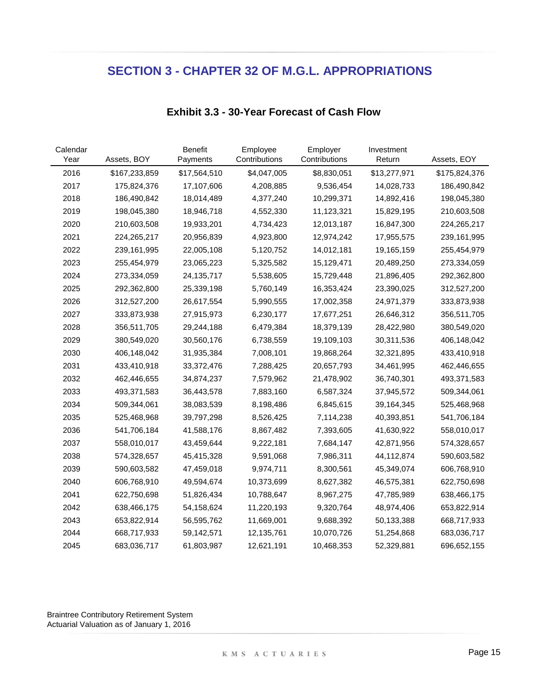| Calendar<br>Year | Assets, BOY   | <b>Benefit</b><br>Payments | Employee<br>Contributions | Employer<br>Contributions | Investment<br>Return | Assets, EOY   |
|------------------|---------------|----------------------------|---------------------------|---------------------------|----------------------|---------------|
| 2016             | \$167,233,859 | \$17,564,510               | \$4,047,005               | \$8,830,051               | \$13,277,971         | \$175,824,376 |
| 2017             | 175,824,376   | 17,107,606                 | 4,208,885                 | 9,536,454                 | 14,028,733           | 186,490,842   |
| 2018             | 186,490,842   | 18,014,489                 | 4,377,240                 | 10,299,371                | 14,892,416           | 198,045,380   |
| 2019             | 198,045,380   | 18,946,718                 | 4,552,330                 | 11,123,321                | 15,829,195           | 210,603,508   |
| 2020             | 210,603,508   | 19,933,201                 | 4,734,423                 | 12,013,187                | 16,847,300           | 224,265,217   |
| 2021             | 224,265,217   | 20,956,839                 | 4,923,800                 | 12,974,242                | 17,955,575           | 239,161,995   |
| 2022             | 239,161,995   | 22,005,108                 | 5,120,752                 | 14,012,181                | 19,165,159           | 255,454,979   |
| 2023             | 255,454,979   | 23,065,223                 | 5,325,582                 | 15,129,471                | 20,489,250           | 273,334,059   |
| 2024             | 273,334,059   | 24, 135, 717               | 5,538,605                 | 15,729,448                | 21,896,405           | 292,362,800   |
| 2025             | 292,362,800   | 25,339,198                 | 5,760,149                 | 16,353,424                | 23,390,025           | 312,527,200   |
| 2026             | 312,527,200   | 26,617,554                 | 5,990,555                 | 17,002,358                | 24,971,379           | 333,873,938   |
| 2027             | 333,873,938   | 27,915,973                 | 6,230,177                 | 17,677,251                | 26,646,312           | 356,511,705   |
| 2028             | 356,511,705   | 29,244,188                 | 6,479,384                 | 18,379,139                | 28,422,980           | 380,549,020   |
| 2029             | 380,549,020   | 30,560,176                 | 6,738,559                 | 19,109,103                | 30,311,536           | 406,148,042   |
| 2030             | 406,148,042   | 31,935,384                 | 7,008,101                 | 19,868,264                | 32,321,895           | 433,410,918   |
| 2031             | 433,410,918   | 33,372,476                 | 7,288,425                 | 20,657,793                | 34,461,995           | 462,446,655   |
| 2032             | 462,446,655   | 34,874,237                 | 7,579,962                 | 21,478,902                | 36,740,301           | 493,371,583   |
| 2033             | 493,371,583   | 36,443,578                 | 7,883,160                 | 6,587,324                 | 37,945,572           | 509,344,061   |
| 2034             | 509,344,061   | 38,083,539                 | 8,198,486                 | 6,845,615                 | 39, 164, 345         | 525,468,968   |
| 2035             | 525,468,968   | 39,797,298                 | 8,526,425                 | 7,114,238                 | 40,393,851           | 541,706,184   |
| 2036             | 541,706,184   | 41,588,176                 | 8,867,482                 | 7,393,605                 | 41,630,922           | 558,010,017   |
| 2037             | 558,010,017   | 43,459,644                 | 9,222,181                 | 7,684,147                 | 42,871,956           | 574,328,657   |
| 2038             | 574,328,657   | 45,415,328                 | 9,591,068                 | 7,986,311                 | 44,112,874           | 590,603,582   |
| 2039             | 590,603,582   | 47,459,018                 | 9,974,711                 | 8,300,561                 | 45,349,074           | 606,768,910   |
| 2040             | 606,768,910   | 49,594,674                 | 10,373,699                | 8,627,382                 | 46,575,381           | 622,750,698   |
| 2041             | 622,750,698   | 51,826,434                 | 10,788,647                | 8,967,275                 | 47,785,989           | 638,466,175   |
| 2042             | 638,466,175   | 54,158,624                 | 11,220,193                | 9,320,764                 | 48,974,406           | 653,822,914   |
| 2043             | 653,822,914   | 56,595,762                 | 11,669,001                | 9,688,392                 | 50,133,388           | 668,717,933   |
| 2044             | 668,717,933   | 59,142,571                 | 12,135,761                | 10,070,726                | 51,254,868           | 683,036,717   |
| 2045             | 683,036,717   | 61,803,987                 | 12,621,191                | 10,468,353                | 52,329,881           | 696,652,155   |

### **Exhibit 3.3 - 30-Year Forecast of Cash Flow**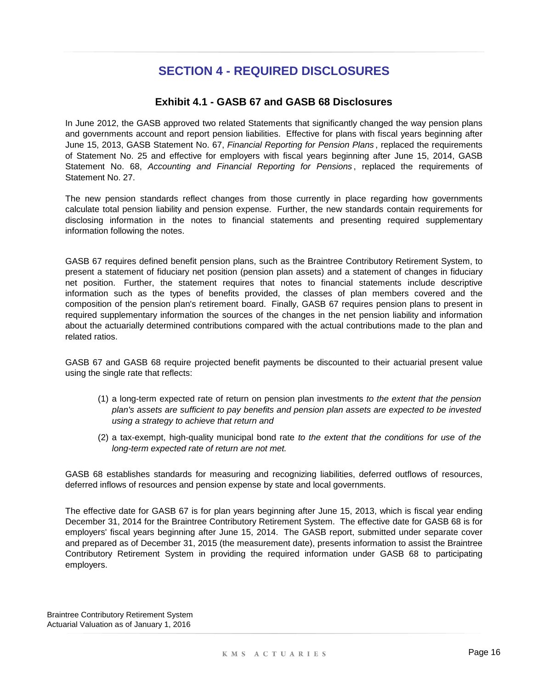## **SECTION 4 - REQUIRED DISCLOSURES**

### **Exhibit 4.1 - GASB 67 and GASB 68 Disclosures**

In June 2012, the GASB approved two related Statements that significantly changed the way pension plans and governments account and report pension liabilities. Effective for plans with fiscal years beginning after June 15, 2013, GASB Statement No. 67, *Financial Reporting for Pension Plans* , replaced the requirements of Statement No. 25 and effective for employers with fiscal years beginning after June 15, 2014, GASB Statement No. 68, *Accounting and Financial Reporting for Pensions* , replaced the requirements of Statement No. 27.

The new pension standards reflect changes from those currently in place regarding how governments calculate total pension liability and pension expense. Further, the new standards contain requirements for disclosing information in the notes to financial statements and presenting required supplementary information following the notes.

GASB 67 requires defined benefit pension plans, such as the Braintree Contributory Retirement System, to present a statement of fiduciary net position (pension plan assets) and a statement of changes in fiduciary net position. Further, the statement requires that notes to financial statements include descriptive information such as the types of benefits provided, the classes of plan members covered and the composition of the pension plan's retirement board. Finally, GASB 67 requires pension plans to present in required supplementary information the sources of the changes in the net pension liability and information about the actuarially determined contributions compared with the actual contributions made to the plan and related ratios.

GASB 67 and GASB 68 require projected benefit payments be discounted to their actuarial present value using the single rate that reflects:

- (1) a long-term expected rate of return on pension plan investments *to the extent that the pension plan's assets are sufficient to pay benefits and pension plan assets are expected to be invested using a strategy to achieve that return and*
- (2) a tax-exempt, high-quality municipal bond rate *to the extent that the conditions for use of the long-term expected rate of return are not met.*

GASB 68 establishes standards for measuring and recognizing liabilities, deferred outflows of resources, deferred inflows of resources and pension expense by state and local governments.

The effective date for GASB 67 is for plan years beginning after June 15, 2013, which is fiscal year ending December 31, 2014 for the Braintree Contributory Retirement System. The effective date for GASB 68 is for employers' fiscal years beginning after June 15, 2014. The GASB report, submitted under separate cover and prepared as of December 31, 2015 (the measurement date), presents information to assist the Braintree Contributory Retirement System in providing the required information under GASB 68 to participating employers.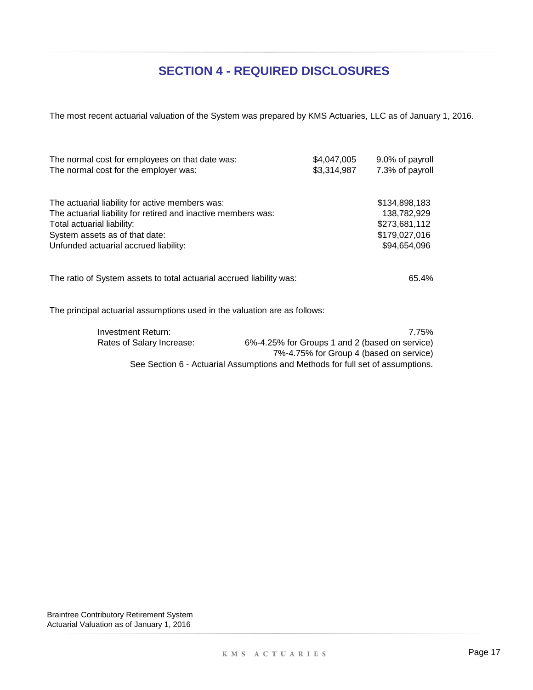## **SECTION 4 - REQUIRED DISCLOSURES**

The most recent actuarial valuation of the System was prepared by KMS Actuaries, LLC as of January 1, 2016.

| The normal cost for employees on that date was:<br>The normal cost for the employer was: | \$4,047,005<br>\$3,314,987 | 9.0% of payroll<br>7.3% of payroll |
|------------------------------------------------------------------------------------------|----------------------------|------------------------------------|
| The actuarial liability for active members was:                                          |                            | \$134,898,183                      |
| The actuarial liability for retired and inactive members was:                            |                            | 138,782,929                        |
| Total actuarial liability:                                                               |                            | \$273,681,112                      |
| System assets as of that date:                                                           |                            | \$179,027,016                      |
| Unfunded actuarial accrued liability:                                                    |                            | \$94,654,096                       |
| The ratio of System assets to total actuarial accrued liability was:                     |                            | 65.4%                              |
|                                                                                          |                            |                                    |

The principal actuarial assumptions used in the valuation are as follows:

| Investment Return:        | 7.75%                                                                          |
|---------------------------|--------------------------------------------------------------------------------|
| Rates of Salary Increase: | 6%-4.25% for Groups 1 and 2 (based on service)                                 |
|                           | 7%-4.75% for Group 4 (based on service)                                        |
|                           | See Section 6 - Actuarial Assumptions and Methods for full set of assumptions. |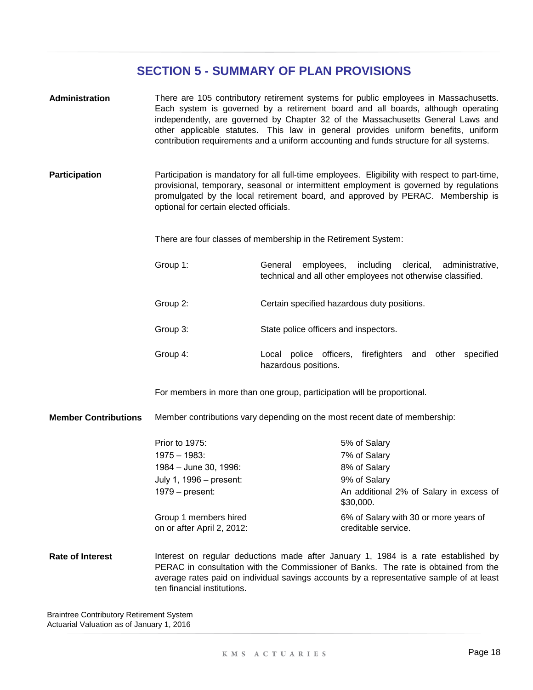| Administration              | There are 105 contributory retirement systems for public employees in Massachusetts.<br>Each system is governed by a retirement board and all boards, although operating<br>independently, are governed by Chapter 32 of the Massachusetts General Laws and<br>other applicable statutes. This law in general provides uniform benefits, uniform<br>contribution requirements and a uniform accounting and funds structure for all systems. |                                                                                                                                                                                      |  |  |
|-----------------------------|---------------------------------------------------------------------------------------------------------------------------------------------------------------------------------------------------------------------------------------------------------------------------------------------------------------------------------------------------------------------------------------------------------------------------------------------|--------------------------------------------------------------------------------------------------------------------------------------------------------------------------------------|--|--|
| <b>Participation</b>        | Participation is mandatory for all full-time employees. Eligibility with respect to part-time,<br>provisional, temporary, seasonal or intermittent employment is governed by regulations<br>promulgated by the local retirement board, and approved by PERAC. Membership is<br>optional for certain elected officials.                                                                                                                      |                                                                                                                                                                                      |  |  |
|                             | There are four classes of membership in the Retirement System:                                                                                                                                                                                                                                                                                                                                                                              |                                                                                                                                                                                      |  |  |
|                             | Group 1:<br>employees,<br>including<br>clerical,<br>General<br>administrative,<br>technical and all other employees not otherwise classified.                                                                                                                                                                                                                                                                                               |                                                                                                                                                                                      |  |  |
|                             | Group 2:                                                                                                                                                                                                                                                                                                                                                                                                                                    | Certain specified hazardous duty positions.                                                                                                                                          |  |  |
|                             | Group 3:                                                                                                                                                                                                                                                                                                                                                                                                                                    | State police officers and inspectors.                                                                                                                                                |  |  |
|                             | Group 4:                                                                                                                                                                                                                                                                                                                                                                                                                                    | Local police officers, firefighters and other specified<br>hazardous positions.                                                                                                      |  |  |
|                             |                                                                                                                                                                                                                                                                                                                                                                                                                                             | For members in more than one group, participation will be proportional.                                                                                                              |  |  |
| <b>Member Contributions</b> |                                                                                                                                                                                                                                                                                                                                                                                                                                             | Member contributions vary depending on the most recent date of membership:                                                                                                           |  |  |
|                             | Prior to 1975:<br>$1975 - 1983$ :<br>1984 - June 30, 1996:<br>July 1, 1996 - present:<br>$1979$ – present:<br>Group 1 members hired<br>on or after April 2, 2012:                                                                                                                                                                                                                                                                           | 5% of Salary<br>7% of Salary<br>8% of Salary<br>9% of Salary<br>An additional 2% of Salary in excess of<br>\$30,000.<br>6% of Salary with 30 or more years of<br>creditable service. |  |  |
| <b>Rate of Interest</b>     | Interest on regular deductions made after January 1, 1984 is a rate established by<br>PERAC in consultation with the Commissioner of Banks. The rate is obtained from the<br>average rates paid on individual savings accounts by a representative sample of at least<br>ten financial institutions.                                                                                                                                        |                                                                                                                                                                                      |  |  |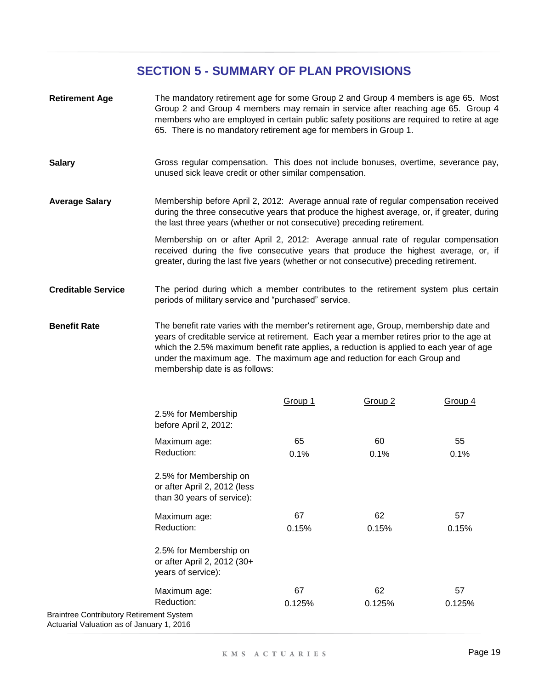- **Retirement Age** The mandatory retirement age for some Group 2 and Group 4 members is age 65. Most Group 2 and Group 4 members may remain in service after reaching age 65. Group 4 members who are employed in certain public safety positions are required to retire at age 65. There is no mandatory retirement age for members in Group 1.
- **Salary** Gross regular compensation. This does not include bonuses, overtime, severance pay, unused sick leave credit or other similar compensation.
- **Average Salary** Membership before April 2, 2012: Average annual rate of regular compensation received during the three consecutive years that produce the highest average, or, if greater, during the last three years (whether or not consecutive) preceding retirement.

Membership on or after April 2, 2012: Average annual rate of regular compensation received during the five consecutive years that produce the highest average, or, if greater, during the last five years (whether or not consecutive) preceding retirement.

- **Creditable Service** The period during which a member contributes to the retirement system plus certain periods of military service and "purchased" service.
- **Benefit Rate** The benefit rate varies with the member's retirement age, Group, membership date and years of creditable service at retirement. Each year a member retires prior to the age at which the 2.5% maximum benefit rate applies, a reduction is applied to each year of age under the maximum age. The maximum age and reduction for each Group and membership date is as follows:

|                                                                                              | <b>Group 1</b> | Group <sub>2</sub> | Group 4 |
|----------------------------------------------------------------------------------------------|----------------|--------------------|---------|
| 2.5% for Membership<br>before April 2, 2012:                                                 |                |                    |         |
| Maximum age:                                                                                 | 65             | 60                 | 55      |
| Reduction:                                                                                   | 0.1%           | 0.1%               | 0.1%    |
| 2.5% for Membership on<br>or after April 2, 2012 (less<br>than 30 years of service):         |                |                    |         |
| Maximum age:                                                                                 | 67             | 62                 | 57      |
| Reduction:                                                                                   | 0.15%          | 0.15%              | 0.15%   |
| 2.5% for Membership on<br>or after April 2, 2012 (30+<br>years of service):                  |                |                    |         |
| Maximum age:                                                                                 | 67             | 62                 | 57      |
| Reduction:                                                                                   | 0.125%         | 0.125%             | 0.125%  |
| <b>Braintree Contributory Retirement System</b><br>Actuarial Valuation as of January 1, 2016 |                |                    |         |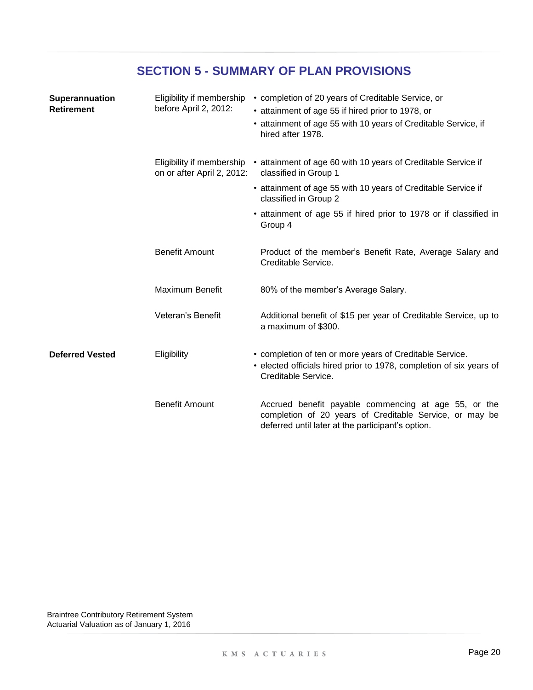|  |  |  | <b>SECTION 5 - SUMMARY OF PLAN PROVISIONS</b> |
|--|--|--|-----------------------------------------------|
|--|--|--|-----------------------------------------------|

| Superannuation<br><b>Retirement</b> | Eligibility if membership<br>before April 2, 2012:      | • completion of 20 years of Creditable Service, or<br>• attainment of age 55 if hired prior to 1978, or<br>• attainment of age 55 with 10 years of Creditable Service, if<br>hired after 1978. |
|-------------------------------------|---------------------------------------------------------|------------------------------------------------------------------------------------------------------------------------------------------------------------------------------------------------|
|                                     | Eligibility if membership<br>on or after April 2, 2012: | • attainment of age 60 with 10 years of Creditable Service if<br>classified in Group 1                                                                                                         |
|                                     |                                                         | • attainment of age 55 with 10 years of Creditable Service if<br>classified in Group 2                                                                                                         |
|                                     |                                                         | • attainment of age 55 if hired prior to 1978 or if classified in<br>Group 4                                                                                                                   |
|                                     | <b>Benefit Amount</b>                                   | Product of the member's Benefit Rate, Average Salary and<br>Creditable Service.                                                                                                                |
|                                     | <b>Maximum Benefit</b>                                  | 80% of the member's Average Salary.                                                                                                                                                            |
|                                     | Veteran's Benefit                                       | Additional benefit of \$15 per year of Creditable Service, up to<br>a maximum of \$300.                                                                                                        |
| <b>Deferred Vested</b>              | Eligibility                                             | • completion of ten or more years of Creditable Service.<br>• elected officials hired prior to 1978, completion of six years of<br>Creditable Service.                                         |
|                                     | <b>Benefit Amount</b>                                   | Accrued benefit payable commencing at age 55, or the<br>completion of 20 years of Creditable Service, or may be<br>deferred until later at the participant's option.                           |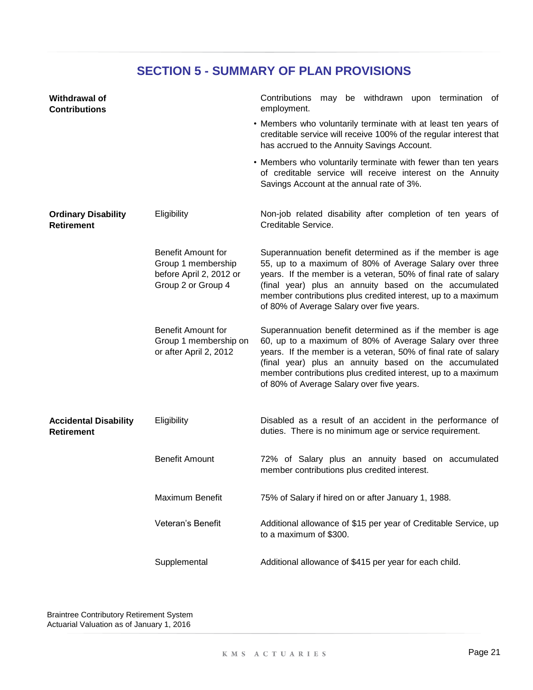| Withdrawal of<br><b>Contributions</b>             |                                                                                           | Contributions may be withdrawn upon termination of<br>employment.                                                                                                                                                                                                                                                                                            |
|---------------------------------------------------|-------------------------------------------------------------------------------------------|--------------------------------------------------------------------------------------------------------------------------------------------------------------------------------------------------------------------------------------------------------------------------------------------------------------------------------------------------------------|
|                                                   |                                                                                           | • Members who voluntarily terminate with at least ten years of<br>creditable service will receive 100% of the regular interest that<br>has accrued to the Annuity Savings Account.                                                                                                                                                                           |
|                                                   |                                                                                           | • Members who voluntarily terminate with fewer than ten years<br>of creditable service will receive interest on the Annuity<br>Savings Account at the annual rate of 3%.                                                                                                                                                                                     |
| <b>Ordinary Disability</b><br><b>Retirement</b>   | Eligibility                                                                               | Non-job related disability after completion of ten years of<br>Creditable Service.                                                                                                                                                                                                                                                                           |
|                                                   | Benefit Amount for<br>Group 1 membership<br>before April 2, 2012 or<br>Group 2 or Group 4 | Superannuation benefit determined as if the member is age<br>55, up to a maximum of 80% of Average Salary over three<br>years. If the member is a veteran, 50% of final rate of salary<br>(final year) plus an annuity based on the accumulated<br>member contributions plus credited interest, up to a maximum<br>of 80% of Average Salary over five years. |
|                                                   | <b>Benefit Amount for</b><br>Group 1 membership on<br>or after April 2, 2012              | Superannuation benefit determined as if the member is age<br>60, up to a maximum of 80% of Average Salary over three<br>years. If the member is a veteran, 50% of final rate of salary<br>(final year) plus an annuity based on the accumulated<br>member contributions plus credited interest, up to a maximum<br>of 80% of Average Salary over five years. |
| <b>Accidental Disability</b><br><b>Retirement</b> | Eligibility                                                                               | Disabled as a result of an accident in the performance of<br>duties. There is no minimum age or service requirement.                                                                                                                                                                                                                                         |
|                                                   | <b>Benefit Amount</b>                                                                     | 72% of Salary plus an annuity based on accumulated<br>member contributions plus credited interest.                                                                                                                                                                                                                                                           |
|                                                   | Maximum Benefit                                                                           | 75% of Salary if hired on or after January 1, 1988.                                                                                                                                                                                                                                                                                                          |
|                                                   | Veteran's Benefit                                                                         | Additional allowance of \$15 per year of Creditable Service, up<br>to a maximum of \$300.                                                                                                                                                                                                                                                                    |
|                                                   | Supplemental                                                                              | Additional allowance of \$415 per year for each child.                                                                                                                                                                                                                                                                                                       |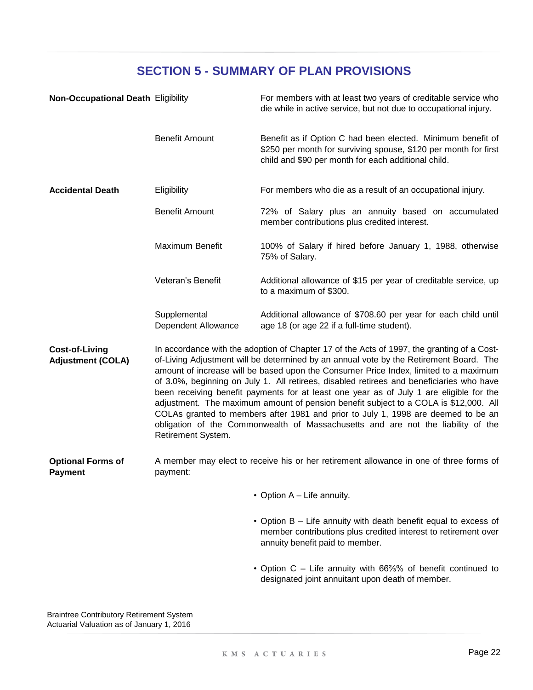| <b>Non-Occupational Death Eligibility</b>         |                                     | For members with at least two years of creditable service who<br>die while in active service, but not due to occupational injury.                                                                                                                                                                                                                                                                                                                                                                                                                                                                                                                                                                                                    |
|---------------------------------------------------|-------------------------------------|--------------------------------------------------------------------------------------------------------------------------------------------------------------------------------------------------------------------------------------------------------------------------------------------------------------------------------------------------------------------------------------------------------------------------------------------------------------------------------------------------------------------------------------------------------------------------------------------------------------------------------------------------------------------------------------------------------------------------------------|
|                                                   | <b>Benefit Amount</b>               | Benefit as if Option C had been elected. Minimum benefit of<br>\$250 per month for surviving spouse, \$120 per month for first<br>child and \$90 per month for each additional child.                                                                                                                                                                                                                                                                                                                                                                                                                                                                                                                                                |
| <b>Accidental Death</b>                           | Eligibility                         | For members who die as a result of an occupational injury.                                                                                                                                                                                                                                                                                                                                                                                                                                                                                                                                                                                                                                                                           |
|                                                   | <b>Benefit Amount</b>               | 72% of Salary plus an annuity based on accumulated<br>member contributions plus credited interest.                                                                                                                                                                                                                                                                                                                                                                                                                                                                                                                                                                                                                                   |
|                                                   | Maximum Benefit                     | 100% of Salary if hired before January 1, 1988, otherwise<br>75% of Salary.                                                                                                                                                                                                                                                                                                                                                                                                                                                                                                                                                                                                                                                          |
|                                                   | Veteran's Benefit                   | Additional allowance of \$15 per year of creditable service, up<br>to a maximum of \$300.                                                                                                                                                                                                                                                                                                                                                                                                                                                                                                                                                                                                                                            |
|                                                   | Supplemental<br>Dependent Allowance | Additional allowance of \$708.60 per year for each child until<br>age 18 (or age 22 if a full-time student).                                                                                                                                                                                                                                                                                                                                                                                                                                                                                                                                                                                                                         |
| <b>Cost-of-Living</b><br><b>Adjustment (COLA)</b> | Retirement System.                  | In accordance with the adoption of Chapter 17 of the Acts of 1997, the granting of a Cost-<br>of-Living Adjustment will be determined by an annual vote by the Retirement Board. The<br>amount of increase will be based upon the Consumer Price Index, limited to a maximum<br>of 3.0%, beginning on July 1. All retirees, disabled retirees and beneficiaries who have<br>been receiving benefit payments for at least one year as of July 1 are eligible for the<br>adjustment. The maximum amount of pension benefit subject to a COLA is \$12,000. All<br>COLAs granted to members after 1981 and prior to July 1, 1998 are deemed to be an<br>obligation of the Commonwealth of Massachusetts and are not the liability of the |
| <b>Optional Forms of</b><br><b>Payment</b>        | payment:                            | A member may elect to receive his or her retirement allowance in one of three forms of                                                                                                                                                                                                                                                                                                                                                                                                                                                                                                                                                                                                                                               |
|                                                   |                                     | • Option A - Life annuity.                                                                                                                                                                                                                                                                                                                                                                                                                                                                                                                                                                                                                                                                                                           |
|                                                   |                                     | • Option B - Life annuity with death benefit equal to excess of<br>member contributions plus credited interest to retirement over<br>annuity benefit paid to member.                                                                                                                                                                                                                                                                                                                                                                                                                                                                                                                                                                 |
|                                                   |                                     | • Option C - Life annuity with 66%% of benefit continued to<br>designated joint annuitant upon death of member.                                                                                                                                                                                                                                                                                                                                                                                                                                                                                                                                                                                                                      |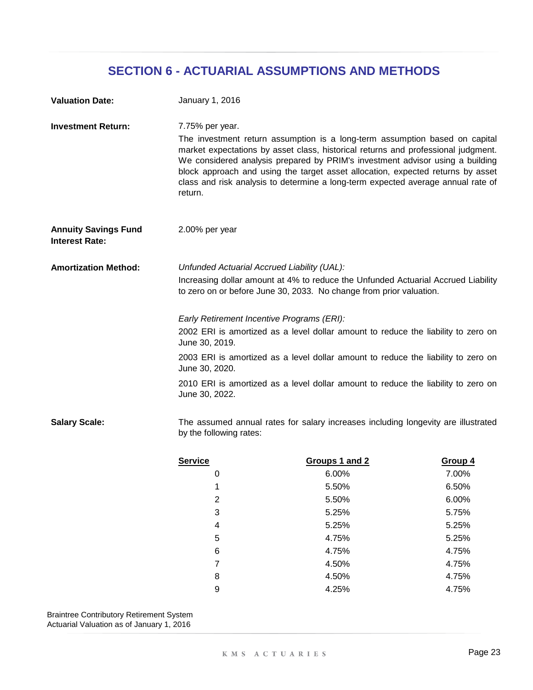| <b>Valuation Date:</b>                                                 | January 1, 2016                                                                                                                                                                                         |                                                                                                                                                                                                                                                                                                                                                                                                                          |         |  |  |
|------------------------------------------------------------------------|---------------------------------------------------------------------------------------------------------------------------------------------------------------------------------------------------------|--------------------------------------------------------------------------------------------------------------------------------------------------------------------------------------------------------------------------------------------------------------------------------------------------------------------------------------------------------------------------------------------------------------------------|---------|--|--|
| <b>Investment Return:</b>                                              | 7.75% per year.<br>return.                                                                                                                                                                              | The investment return assumption is a long-term assumption based on capital<br>market expectations by asset class, historical returns and professional judgment.<br>We considered analysis prepared by PRIM's investment advisor using a building<br>block approach and using the target asset allocation, expected returns by asset<br>class and risk analysis to determine a long-term expected average annual rate of |         |  |  |
| 2.00% per year<br><b>Annuity Savings Fund</b><br><b>Interest Rate:</b> |                                                                                                                                                                                                         |                                                                                                                                                                                                                                                                                                                                                                                                                          |         |  |  |
| <b>Amortization Method:</b>                                            | Unfunded Actuarial Accrued Liability (UAL):<br>Increasing dollar amount at 4% to reduce the Unfunded Actuarial Accrued Liability<br>to zero on or before June 30, 2033. No change from prior valuation. |                                                                                                                                                                                                                                                                                                                                                                                                                          |         |  |  |
|                                                                        | Early Retirement Incentive Programs (ERI):<br>2002 ERI is amortized as a level dollar amount to reduce the liability to zero on<br>June 30, 2019.                                                       |                                                                                                                                                                                                                                                                                                                                                                                                                          |         |  |  |
|                                                                        | 2003 ERI is amortized as a level dollar amount to reduce the liability to zero on<br>June 30, 2020.                                                                                                     |                                                                                                                                                                                                                                                                                                                                                                                                                          |         |  |  |
|                                                                        | June 30, 2022.                                                                                                                                                                                          | 2010 ERI is amortized as a level dollar amount to reduce the liability to zero on                                                                                                                                                                                                                                                                                                                                        |         |  |  |
| <b>Salary Scale:</b>                                                   | The assumed annual rates for salary increases including longevity are illustrated<br>by the following rates:                                                                                            |                                                                                                                                                                                                                                                                                                                                                                                                                          |         |  |  |
|                                                                        | <b>Service</b>                                                                                                                                                                                          | Groups 1 and 2                                                                                                                                                                                                                                                                                                                                                                                                           | Group 4 |  |  |
|                                                                        | 0                                                                                                                                                                                                       | 6.00%                                                                                                                                                                                                                                                                                                                                                                                                                    | 7.00%   |  |  |
|                                                                        | 1                                                                                                                                                                                                       | 5.50%                                                                                                                                                                                                                                                                                                                                                                                                                    | 6.50%   |  |  |
|                                                                        | $\overline{2}$                                                                                                                                                                                          | 5.50%                                                                                                                                                                                                                                                                                                                                                                                                                    | 6.00%   |  |  |
|                                                                        | 3                                                                                                                                                                                                       | 5.25%                                                                                                                                                                                                                                                                                                                                                                                                                    | 5.75%   |  |  |
|                                                                        | 4                                                                                                                                                                                                       | 5.25%                                                                                                                                                                                                                                                                                                                                                                                                                    | 5.25%   |  |  |
|                                                                        | 5                                                                                                                                                                                                       | 4.75%                                                                                                                                                                                                                                                                                                                                                                                                                    | 5.25%   |  |  |

Previous values values values values values values values values values values values values values values values values values values values values values values values values values values values values values values val Braintree Contributory Retirement System Actuarial Valuation as of January 1, 2016

6 4.75% 4.75% 7 4.75% 8 and the set of  $4.50\%$  and  $4.75\%$ 9 4.75% 4.25%

4.50% 4.50%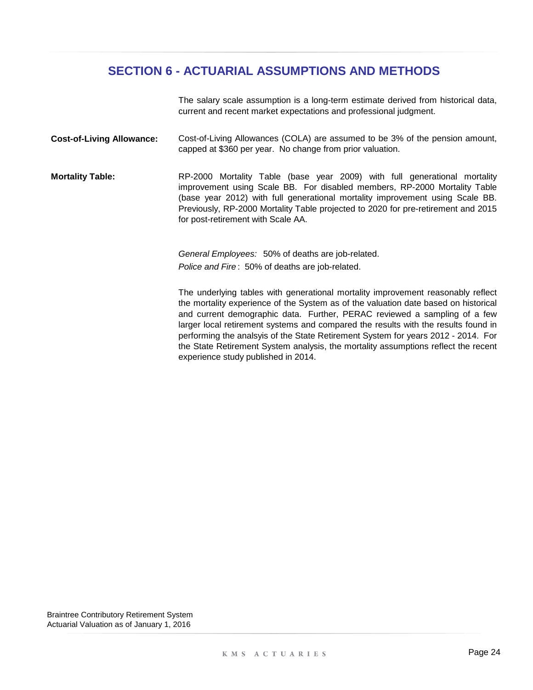The salary scale assumption is a long-term estimate derived from historical data, current and recent market expectations and professional judgment.

- **Cost-of-Living Allowance:** Cost-of-Living Allowances (COLA) are assumed to be 3% of the pension amount, capped at \$360 per year. No change from prior valuation.
- **Mortality Table:** RP-2000 Mortality Table (base year 2009) with full generational mortality improvement using Scale BB. For disabled members, RP-2000 Mortality Table (base year 2012) with full generational mortality improvement using Scale BB. Previously, RP-2000 Mortality Table projected to 2020 for pre-retirement and 2015 for post-retirement with Scale AA.

*General Employees:* 50% of deaths are job-related. *Police and Fire* : 50% of deaths are job-related.

The underlying tables with generational mortality improvement reasonably reflect the mortality experience of the System as of the valuation date based on historical and current demographic data. Further, PERAC reviewed a sampling of a few larger local retirement systems and compared the results with the results found in performing the analsyis of the State Retirement System for years 2012 - 2014. For the State Retirement System analysis, the mortality assumptions reflect the recent experience study published in 2014.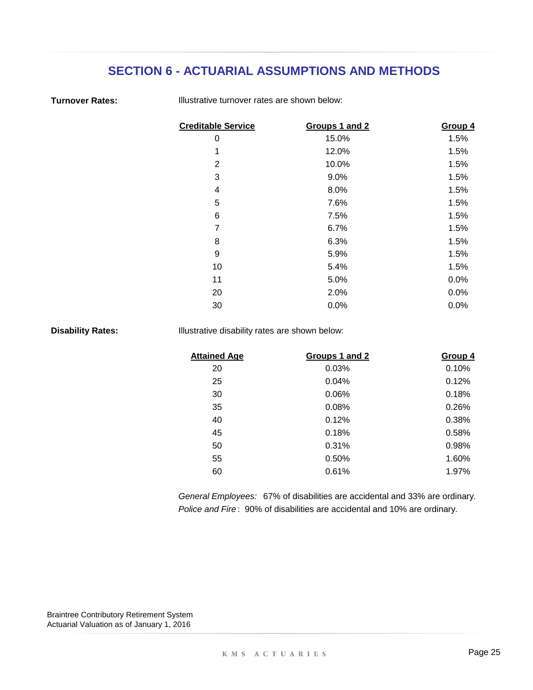#### **Turnover Rates:**

Illustrative turnover rates are shown below:

| <b>Creditable Service</b> | Groups 1 and 2 | Group 4 |
|---------------------------|----------------|---------|
| 0                         | 15.0%          | 1.5%    |
| 1                         | 12.0%          | 1.5%    |
| 2                         | 10.0%          | 1.5%    |
| 3                         | 9.0%           | 1.5%    |
| 4                         | 8.0%           | 1.5%    |
| 5                         | 7.6%           | 1.5%    |
| 6                         | 7.5%           | 1.5%    |
| $\overline{7}$            | 6.7%           | 1.5%    |
| 8                         | 6.3%           | 1.5%    |
| 9                         | 5.9%           | 1.5%    |
| 10                        | 5.4%           | 1.5%    |
| 11                        | 5.0%           | 0.0%    |
| 20                        | 2.0%           | 0.0%    |
| 30                        | 0.0%           | 0.0%    |

**Disability Rates:**

Illustrative disability rates are shown below:

| <b>Attained Age</b> | Groups 1 and 2 | Group 4 |
|---------------------|----------------|---------|
| 20                  | 0.03%          | 0.10%   |
| 25                  | 0.04%          | 0.12%   |
| 30                  | 0.06%          | 0.18%   |
| 35                  | 0.08%          | 0.26%   |
| 40                  | 0.12%          | 0.38%   |
| 45                  | 0.18%          | 0.58%   |
| 50                  | 0.31%          | 0.98%   |
| 55                  | 0.50%          | 1.60%   |
| 60                  | 0.61%          | 1.97%   |
|                     |                |         |

*Police and Fire* : 90% of disabilities are accidental and 10% are ordinary. *General Employees:* 67% of disabilities are accidental and 33% are ordinary.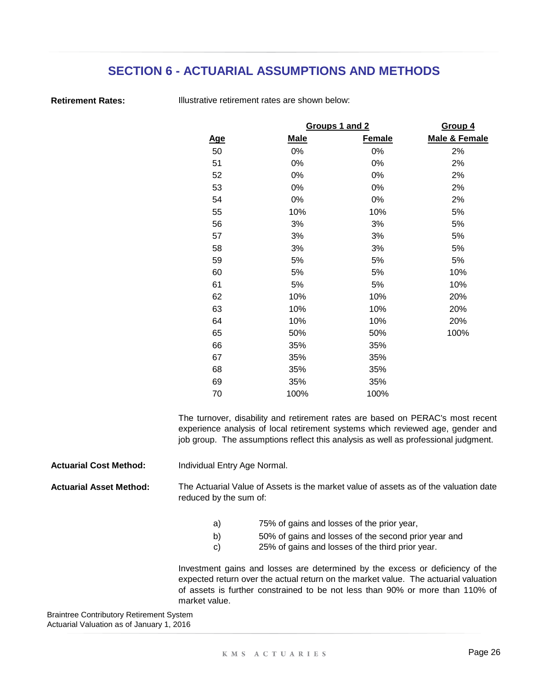**Retirement Rates:**

Illustrative retirement rates are shown below:

|            |             | Groups 1 and 2 |               |  |
|------------|-------------|----------------|---------------|--|
| <u>Age</u> | <u>Male</u> | <b>Female</b>  | Male & Female |  |
| 50         | 0%          | 0%             | 2%            |  |
| 51         | 0%          | 0%             | 2%            |  |
| 52         | 0%          | 0%             | 2%            |  |
| 53         | 0%          | 0%             | 2%            |  |
| 54         | 0%          | 0%             | 2%            |  |
| 55         | 10%         | 10%            | 5%            |  |
| 56         | 3%          | 3%             | 5%            |  |
| 57         | 3%          | 3%             | 5%            |  |
| 58         | 3%          | 3%             | 5%            |  |
| 59         | 5%          | 5%             | 5%            |  |
| 60         | 5%          | 5%             | 10%           |  |
| 61         | 5%          | 5%             | 10%           |  |
| 62         | 10%         | 10%            | 20%           |  |
| 63         | 10%         | 10%            | 20%           |  |
| 64         | 10%         | 10%            | 20%           |  |
| 65         | 50%         | 50%            | 100%          |  |
| 66         | 35%         | 35%            |               |  |
| 67         | 35%         | 35%            |               |  |
| 68         | 35%         | 35%            |               |  |
| 69         | 35%         | 35%            |               |  |
| 70         | 100%        | 100%           |               |  |

The turnover, disability and retirement rates are based on PERAC's most recent experience analysis of local retirement systems which reviewed age, gender and job group. The assumptions reflect this analysis as well as professional judgment.

**Actuarial Cost Method:** Individual Entry Age Normal.

**Actuarial Asset Method:** The Actuarial Value of Assets is the market value of assets as of the valuation date reduced by the sum of:

- a) 75% of gains and losses of the prior year,
- b) 50% of gains and losses of the second prior year and
- c) 25% of gains and losses of the third prior year.

Investment gains and losses are determined by the excess or deficiency of the expected return over the actual return on the market value. The actuarial valuation of assets is further constrained to be not less than 90% or more than 110% of market value.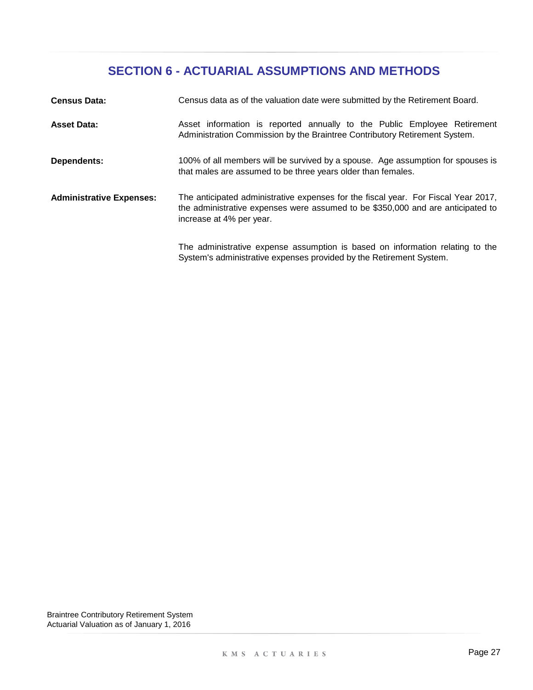| <b>Census Data:</b>             | Census data as of the valuation date were submitted by the Retirement Board.                                                                                                                      |
|---------------------------------|---------------------------------------------------------------------------------------------------------------------------------------------------------------------------------------------------|
| <b>Asset Data:</b>              | Asset information is reported annually to the Public Employee Retirement<br>Administration Commission by the Braintree Contributory Retirement System.                                            |
| Dependents:                     | 100% of all members will be survived by a spouse. Age assumption for spouses is<br>that males are assumed to be three years older than females.                                                   |
| <b>Administrative Expenses:</b> | The anticipated administrative expenses for the fiscal year. For Fiscal Year 2017,<br>the administrative expenses were assumed to be \$350,000 and are anticipated to<br>increase at 4% per year. |
|                                 | The administrative expense assumption is based on information relating to the<br>System's administrative expenses provided by the Retirement System.                                              |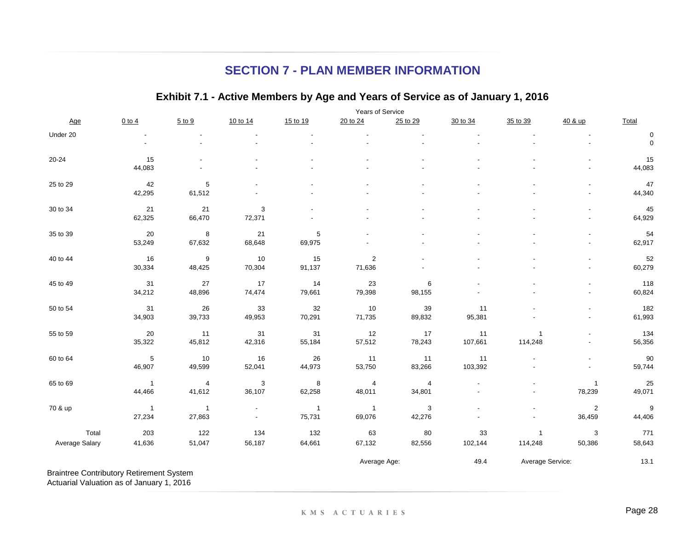## **SECTION 7 - PLAN MEMBER INFORMATION**

### **Exhibit 7.1 - Active Members by Age and Years of Service as of January 1, 2016**

|                                                 |                | Years of Service |                          |                |                  |                |          |                  |                          |                  |
|-------------------------------------------------|----------------|------------------|--------------------------|----------------|------------------|----------------|----------|------------------|--------------------------|------------------|
| Age                                             | $0$ to $4$     | $5$ to $9$       | 10 to 14                 | 15 to 19       | 20 to 24         | 25 to 29       | 30 to 34 | 35 to 39         | 40 & up                  | Total            |
| Under 20                                        |                |                  |                          |                |                  |                |          |                  |                          | 0                |
|                                                 |                |                  |                          |                |                  |                |          |                  | $\sim$                   | $\mathbf 0$      |
| $20 - 24$                                       | 15             |                  |                          |                |                  |                |          |                  |                          | 15               |
|                                                 | 44,083         |                  |                          |                |                  |                |          |                  |                          | 44,083           |
| 25 to 29                                        | 42             | $\,$ 5 $\,$      |                          |                |                  |                |          |                  |                          | 47               |
|                                                 | 42,295         | 61,512           |                          |                |                  |                |          |                  |                          | 44,340           |
| 30 to 34                                        | 21             | 21               | 3                        |                |                  |                |          |                  |                          | 45               |
|                                                 | 62,325         | 66,470           | 72,371                   |                |                  |                |          |                  | $\overline{a}$           | 64,929           |
| 35 to 39                                        | 20             | 8                | 21                       | 5              |                  |                |          |                  | $\blacksquare$           | 54               |
|                                                 | 53,249         | 67,632           | 68,648                   | 69,975         |                  |                |          |                  |                          | 62,917           |
| 40 to 44                                        | 16             | 9                | 10                       | 15             | $\boldsymbol{2}$ |                |          |                  | ٠                        | 52               |
|                                                 | 30,334         | 48,425           | 70,304                   | 91,137         | 71,636           |                |          |                  |                          | 60,279           |
| 45 to 49                                        | 31             | $27\,$           | 17                       | 14             | 23               | 6              |          |                  |                          | 118              |
|                                                 | 34,212         | 48,896           | 74,474                   | 79,661         | 79,398           | 98,155         |          |                  |                          | 60,824           |
| 50 to 54                                        | 31             | 26               | 33                       | 32             | $10$             | 39             | 11       |                  | $\overline{a}$           | 182              |
|                                                 | 34,903         | 39,733           | 49,953                   | 70,291         | 71,735           | 89,832         | 95,381   |                  | $\overline{a}$           | 61,993           |
| 55 to 59                                        | 20             | 11               | 31                       | 31             | 12               | 17             | 11       | $\overline{1}$   |                          | 134              |
|                                                 | 35,322         | 45,812           | 42,316                   | 55,184         | 57,512           | 78,243         | 107,661  | 114,248          | $\overline{\phantom{a}}$ | 56,356           |
| 60 to 64                                        | $\,$ 5 $\,$    | $10$             | 16                       | 26             | 11               | 11             | 11       |                  | $\overline{a}$           | $90\,$           |
|                                                 | 46,907         | 49,599           | 52,041                   | 44,973         | 53,750           | 83,266         | 103,392  |                  | $\overline{\phantom{a}}$ | 59,744           |
| 65 to 69                                        | $\overline{1}$ | $\overline{4}$   | $\mathbf 3$              | 8              | 4                | $\overline{4}$ |          |                  | $\mathbf{1}$             | 25               |
|                                                 | 44,466         | 41,612           | 36,107                   | 62,258         | 48,011           | 34,801         |          |                  | 78,239                   | 49,071           |
| 70 & up                                         | $\overline{1}$ | $\mathbf{1}$     | $\overline{\phantom{a}}$ | $\overline{1}$ | $\overline{1}$   | 3              |          |                  | $\sqrt{2}$               | $\boldsymbol{9}$ |
|                                                 | 27,234         | 27,863           | $\overline{\phantom{a}}$ | 75,731         | 69,076           | 42,276         |          |                  | 36,459                   | 44,406           |
| Total                                           | 203            | 122              | 134                      | 132            | 63               | 80             | 33       | $\overline{1}$   | 3                        | 771              |
| Average Salary                                  | 41,636         | 51,047           | 56,187                   | 64,661         | 67,132           | 82,556         | 102,144  | 114,248          | 50,386                   | 58,643           |
|                                                 |                |                  |                          |                | Average Age:     |                | 49.4     | Average Service: |                          | 13.1             |
| <b>Braintree Contributory Retirement System</b> |                |                  |                          |                |                  |                |          |                  |                          |                  |

Actuarial Valuation as of January 1, 2016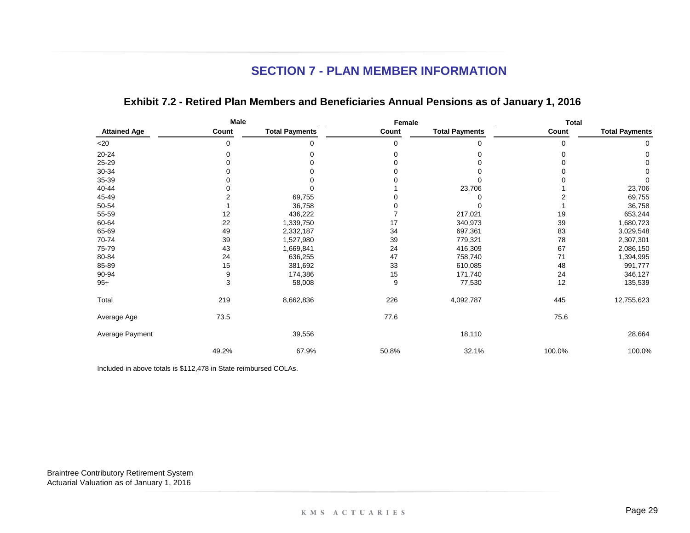## **SECTION 7 - PLAN MEMBER INFORMATION**

|                     | Male  |                       | Female |                       | <b>Total</b> |                       |
|---------------------|-------|-----------------------|--------|-----------------------|--------------|-----------------------|
| <b>Attained Age</b> | Count | <b>Total Payments</b> | Count  | <b>Total Payments</b> | Count        | <b>Total Payments</b> |
| $<$ 20              | 0     | 0                     | 0      | 0                     | 0            | 0                     |
| 20-24               | 0     | 0                     | 0      |                       | 0            | 0                     |
| 25-29               | ŋ     | 0                     | 0      |                       | 0            | 0                     |
| 30-34               |       |                       |        |                       |              |                       |
| 35-39               |       |                       |        |                       |              | 0                     |
| 40-44               |       |                       |        | 23,706                |              | 23,706                |
| 45-49               |       | 69,755                |        |                       | 2            | 69,755                |
| 50-54               |       | 36,758                |        |                       |              | 36,758                |
| 55-59               | 12    | 436,222               |        | 217,021               | 19           | 653,244               |
| 60-64               | 22    | 1,339,750             | 17     | 340,973               | 39           | 1,680,723             |
| 65-69               | 49    | 2,332,187             | 34     | 697,361               | 83           | 3,029,548             |
| 70-74               | 39    | 1,527,980             | 39     | 779,321               | 78           | 2,307,301             |
| 75-79               | 43    | 1,669,841             | 24     | 416,309               | 67           | 2,086,150             |
| 80-84               | 24    | 636,255               | 47     | 758,740               | 71           | 1,394,995             |
| 85-89               | 15    | 381,692               | 33     | 610,085               | 48           | 991,777               |
| 90-94               | 9     | 174,386               | 15     | 171,740               | 24           | 346,127               |
| $95+$               | 3     | 58,008                | 9      | 77,530                | 12           | 135,539               |
| Total               | 219   | 8,662,836             | 226    | 4,092,787             | 445          | 12,755,623            |
| Average Age         | 73.5  |                       | 77.6   |                       | 75.6         |                       |
| Average Payment     |       | 39,556                |        | 18,110                |              | 28,664                |
|                     | 49.2% | 67.9%                 | 50.8%  | 32.1%                 | 100.0%       | 100.0%                |

### **Exhibit 7.2 - Retired Plan Members and Beneficiaries Annual Pensions as of January 1, 2016**

Included in above totals is \$112,478 in State reimbursed COLAs.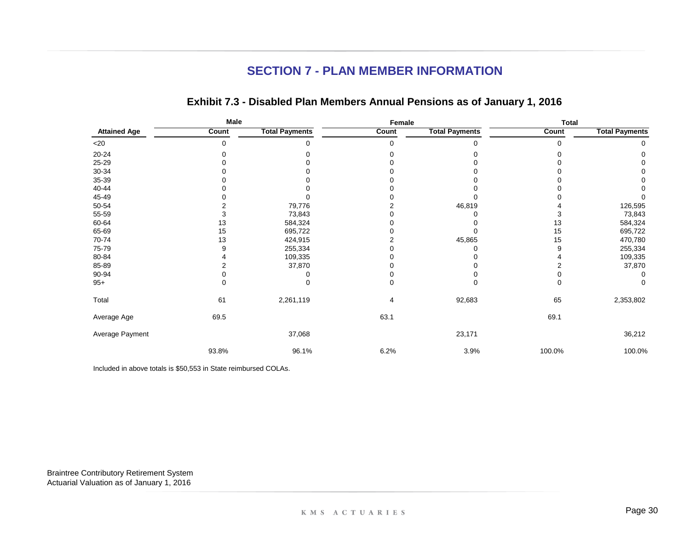## **SECTION 7 - PLAN MEMBER INFORMATION**

|                     | Male  |                       | Female |                       | <b>Total</b> |                       |
|---------------------|-------|-----------------------|--------|-----------------------|--------------|-----------------------|
| <b>Attained Age</b> | Count | <b>Total Payments</b> | Count  | <b>Total Payments</b> | Count        | <b>Total Payments</b> |
| $<$ 20              | 0     | 0                     | 0      |                       | 0            | 0                     |
| $20 - 24$           |       |                       |        |                       |              | O                     |
| 25-29               |       |                       |        |                       |              |                       |
| $30 - 34$           |       |                       |        |                       |              |                       |
| 35-39               |       |                       |        |                       |              |                       |
| 40-44               |       |                       |        |                       |              |                       |
| 45-49               |       |                       |        |                       |              |                       |
| 50-54               |       | 79,776                |        | 46,819                |              | 126,595               |
| 55-59               |       | 73,843                |        |                       | 3            | 73,843                |
| 60-64               | 13    | 584,324               |        |                       | 13           | 584,324               |
| 65-69               | 15    | 695,722               |        |                       | 15           | 695,722               |
| 70-74               | 13    | 424,915               |        | 45,865                | 15           | 470,780               |
| 75-79               | 9     | 255,334               |        |                       | 9            | 255,334               |
| 80-84               |       | 109,335               |        |                       |              | 109,335               |
| 85-89               |       | 37,870                |        |                       |              | 37,870                |
| 90-94               |       |                       |        |                       |              |                       |
| $95+$               | 0     | 0                     | 0      |                       | 0            | 0                     |
| Total               | 61    | 2,261,119             | 4      | 92,683                | 65           | 2,353,802             |
| Average Age         | 69.5  |                       | 63.1   |                       | 69.1         |                       |
| Average Payment     |       | 37,068                |        | 23,171                |              | 36,212                |
|                     | 93.8% | 96.1%                 | 6.2%   | 3.9%                  | 100.0%       | 100.0%                |

### **Exhibit 7.3 - Disabled Plan Members Annual Pensions as of January 1, 2016**

Included in above totals is \$50,553 in State reimbursed COLAs.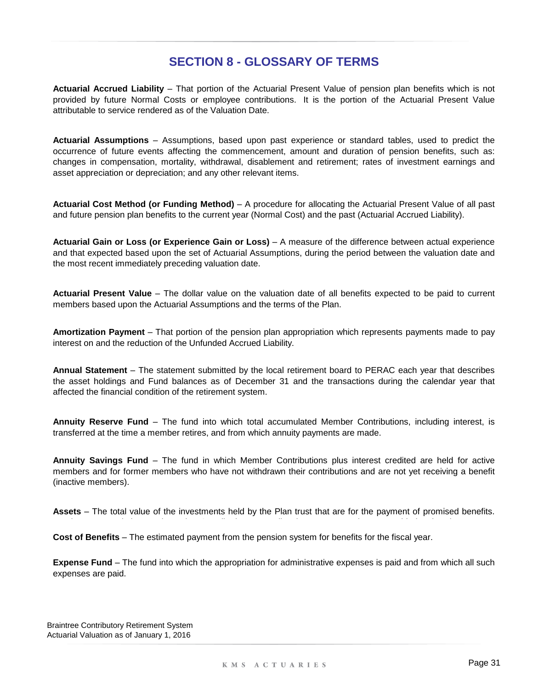## **SECTION 8 - GLOSSARY OF TERMS**

**Actuarial Accrued Liability** – That portion of the Actuarial Present Value of pension plan benefits which is not provided by future Normal Costs or employee contributions. It is the portion of the Actuarial Present Value attributable to service rendered as of the Valuation Date.

**Actuarial Assumptions** – Assumptions, based upon past experience or standard tables, used to predict the occurrence of future events affecting the commencement, amount and duration of pension benefits, such as: changes in compensation, mortality, withdrawal, disablement and retirement; rates of investment earnings and asset appreciation or depreciation; and any other relevant items.

**Actuarial Cost Method (or Funding Method)** – A procedure for allocating the Actuarial Present Value of all past and future pension plan benefits to the current year (Normal Cost) and the past (Actuarial Accrued Liability).

**Actuarial Gain or Loss (or Experience Gain or Loss)** – A measure of the difference between actual experience and that expected based upon the set of Actuarial Assumptions, during the period between the valuation date and the most recent immediately preceding valuation date.

**Actuarial Present Value** – The dollar value on the valuation date of all benefits expected to be paid to current members based upon the Actuarial Assumptions and the terms of the Plan.

**Amortization Payment** – That portion of the pension plan appropriation which represents payments made to pay interest on and the reduction of the Unfunded Accrued Liability.

**Annual Statement** – The statement submitted by the local retirement board to PERAC each year that describes the asset holdings and Fund balances as of December 31 and the transactions during the calendar year that affected the financial condition of the retirement system.

**Annuity Reserve Fund** – The fund into which total accumulated Member Contributions, including interest, is transferred at the time a member retires, and from which annuity payments are made.

**Annuity Savings Fund** – The fund in which Member Contributions plus interest credited are held for active members and for former members who have not withdrawn their contributions and are not yet receiving a benefit (inactive members).

**Assets** – The total value of the investments held by the Plan trust that are for the payment of promised benefits.

**Cost of Benefits** – The estimated payment from the pension system for benefits for the fiscal year.

**Expense Fund** – The fund into which the appropriation for administrative expenses is paid and from which all such expenses are paid.